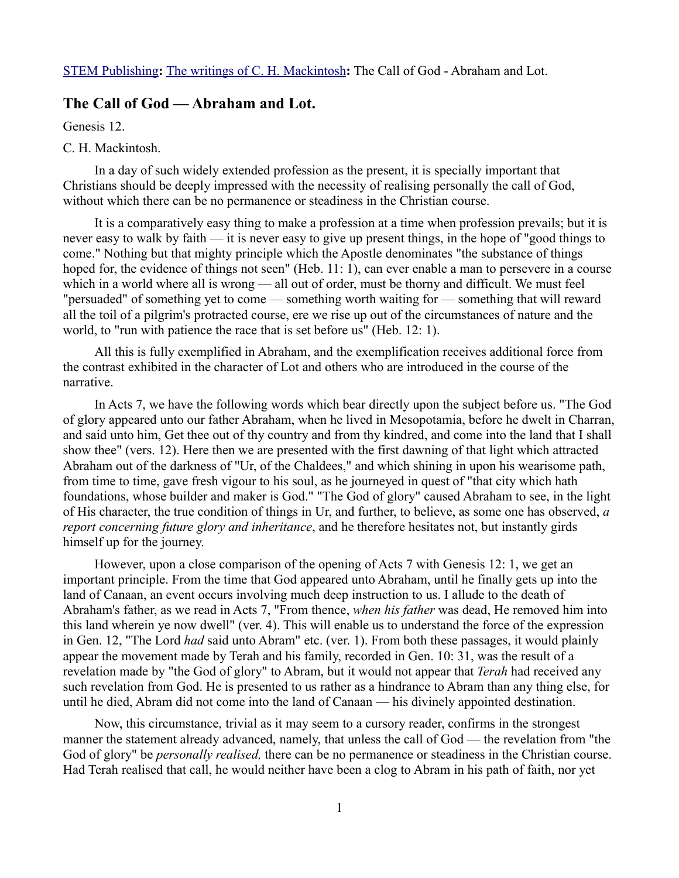# **The Call of God — Abraham and Lot.**

Genesis 12.

# C. H. Mackintosh.

In a day of such widely extended profession as the present, it is specially important that Christians should be deeply impressed with the necessity of realising personally the call of God, without which there can be no permanence or steadiness in the Christian course.

It is a comparatively easy thing to make a profession at a time when profession prevails; but it is never easy to walk by faith — it is never easy to give up present things, in the hope of "good things to come." Nothing but that mighty principle which the Apostle denominates "the substance of things hoped for, the evidence of things not seen" (Heb. 11: 1), can ever enable a man to persevere in a course which in a world where all is wrong — all out of order, must be thorny and difficult. We must feel "persuaded" of something yet to come — something worth waiting for — something that will reward all the toil of a pilgrim's protracted course, ere we rise up out of the circumstances of nature and the world, to "run with patience the race that is set before us" (Heb. 12: 1).

All this is fully exemplified in Abraham, and the exemplification receives additional force from the contrast exhibited in the character of Lot and others who are introduced in the course of the narrative.

In Acts 7, we have the following words which bear directly upon the subject before us. "The God of glory appeared unto our father Abraham, when he lived in Mesopotamia, before he dwelt in Charran, and said unto him, Get thee out of thy country and from thy kindred, and come into the land that I shall show thee" (vers. 12). Here then we are presented with the first dawning of that light which attracted Abraham out of the darkness of "Ur, of the Chaldees," and which shining in upon his wearisome path, from time to time, gave fresh vigour to his soul, as he journeyed in quest of "that city which hath foundations, whose builder and maker is God." "The God of glory" caused Abraham to see, in the light of His character, the true condition of things in Ur, and further, to believe, as some one has observed, *a report concerning future glory and inheritance*, and he therefore hesitates not, but instantly girds himself up for the journey.

However, upon a close comparison of the opening of Acts 7 with Genesis 12: 1, we get an important principle. From the time that God appeared unto Abraham, until he finally gets up into the land of Canaan, an event occurs involving much deep instruction to us. I allude to the death of Abraham's father, as we read in Acts 7, "From thence, *when his father* was dead, He removed him into this land wherein ye now dwell" (ver. 4). This will enable us to understand the force of the expression in Gen. 12, "The Lord *had* said unto Abram" etc. (ver. 1). From both these passages, it would plainly appear the movement made by Terah and his family, recorded in Gen. 10: 31, was the result of a revelation made by "the God of glory" to Abram, but it would not appear that *Terah* had received any such revelation from God. He is presented to us rather as a hindrance to Abram than any thing else, for until he died, Abram did not come into the land of Canaan — his divinely appointed destination.

Now, this circumstance, trivial as it may seem to a cursory reader, confirms in the strongest manner the statement already advanced, namely, that unless the call of God — the revelation from "the God of glory" be *personally realised,* there can be no permanence or steadiness in the Christian course. Had Terah realised that call, he would neither have been a clog to Abram in his path of faith, nor yet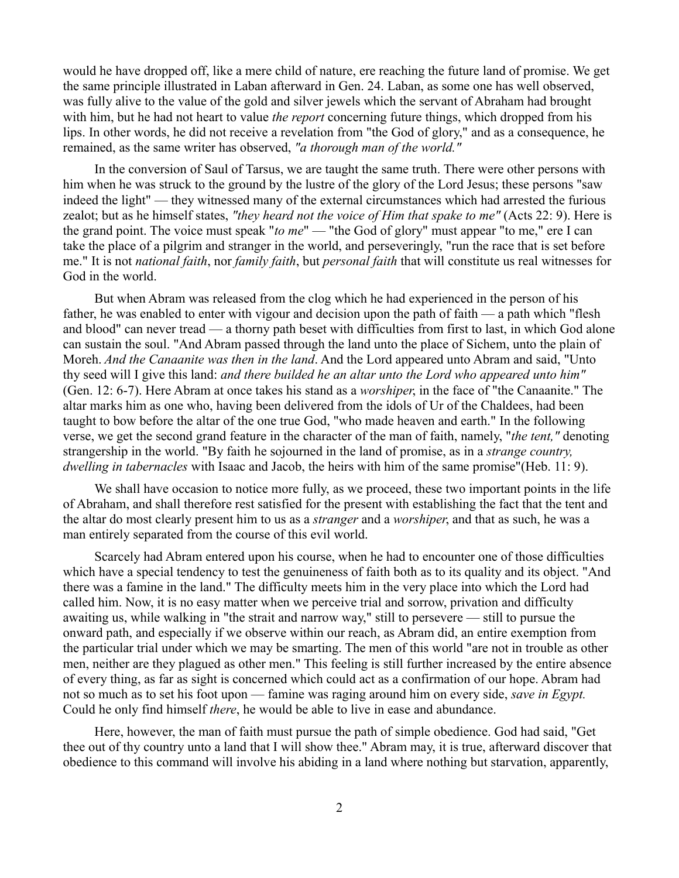would he have dropped off, like a mere child of nature, ere reaching the future land of promise. We get the same principle illustrated in Laban afterward in Gen. 24. Laban, as some one has well observed, was fully alive to the value of the gold and silver jewels which the servant of Abraham had brought with him, but he had not heart to value *the report* concerning future things, which dropped from his lips. In other words, he did not receive a revelation from "the God of glory," and as a consequence, he remained, as the same writer has observed, *"a thorough man of the world."*

In the conversion of Saul of Tarsus, we are taught the same truth. There were other persons with him when he was struck to the ground by the lustre of the glory of the Lord Jesus; these persons "saw indeed the light" — they witnessed many of the external circumstances which had arrested the furious zealot; but as he himself states, *"they heard not the voice of Him that spake to me"* (Acts 22: 9). Here is the grand point. The voice must speak "*to me*" — "the God of glory" must appear "to me," ere I can take the place of a pilgrim and stranger in the world, and perseveringly, "run the race that is set before me." It is not *national faith*, nor *family faith*, but *personal faith* that will constitute us real witnesses for God in the world.

But when Abram was released from the clog which he had experienced in the person of his father, he was enabled to enter with vigour and decision upon the path of faith — a path which "flesh and blood" can never tread — a thorny path beset with difficulties from first to last, in which God alone can sustain the soul. "And Abram passed through the land unto the place of Sichem, unto the plain of Moreh. *And the Canaanite was then in the land*. And the Lord appeared unto Abram and said, "Unto thy seed will I give this land: *and there builded he an altar unto the Lord who appeared unto him"* (Gen. 12: 6-7). Here Abram at once takes his stand as a *worshiper*, in the face of "the Canaanite." The altar marks him as one who, having been delivered from the idols of Ur of the Chaldees, had been taught to bow before the altar of the one true God, "who made heaven and earth." In the following verse, we get the second grand feature in the character of the man of faith, namely, "*the tent,"* denoting strangership in the world. "By faith he sojourned in the land of promise, as in a *strange country, dwelling in tabernacles* with Isaac and Jacob, the heirs with him of the same promise"(Heb. 11: 9).

We shall have occasion to notice more fully, as we proceed, these two important points in the life of Abraham, and shall therefore rest satisfied for the present with establishing the fact that the tent and the altar do most clearly present him to us as a *stranger* and a *worshiper*, and that as such, he was a man entirely separated from the course of this evil world.

Scarcely had Abram entered upon his course, when he had to encounter one of those difficulties which have a special tendency to test the genuineness of faith both as to its quality and its object. "And there was a famine in the land." The difficulty meets him in the very place into which the Lord had called him. Now, it is no easy matter when we perceive trial and sorrow, privation and difficulty awaiting us, while walking in "the strait and narrow way," still to persevere — still to pursue the onward path, and especially if we observe within our reach, as Abram did, an entire exemption from the particular trial under which we may be smarting. The men of this world "are not in trouble as other men, neither are they plagued as other men." This feeling is still further increased by the entire absence of every thing, as far as sight is concerned which could act as a confirmation of our hope. Abram had not so much as to set his foot upon — famine was raging around him on every side, *save in Egypt.* Could he only find himself *there*, he would be able to live in ease and abundance.

Here, however, the man of faith must pursue the path of simple obedience. God had said, "Get thee out of thy country unto a land that I will show thee." Abram may, it is true, afterward discover that obedience to this command will involve his abiding in a land where nothing but starvation, apparently,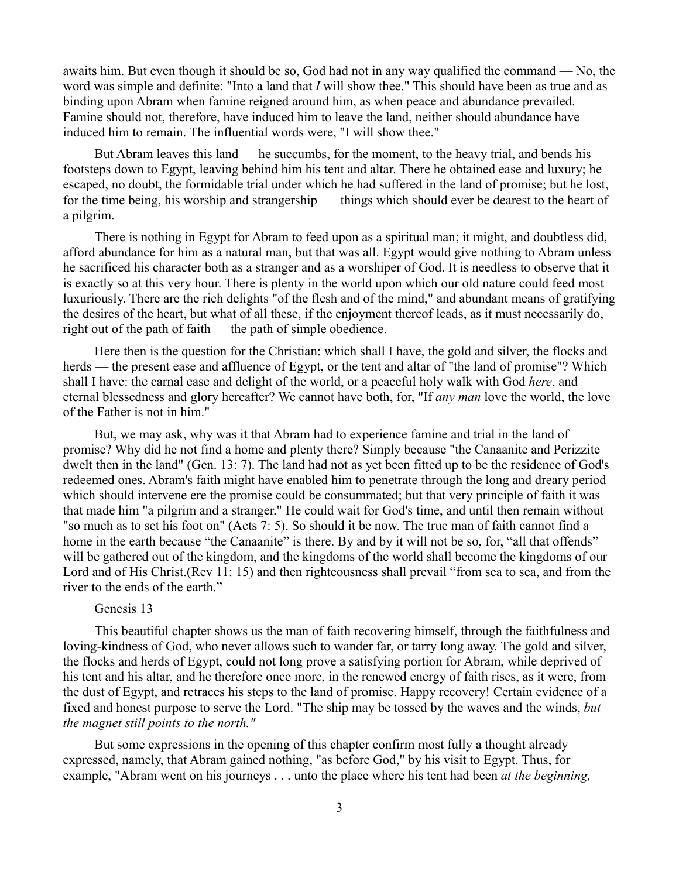awaits him. But even though it should be so, God had not in any way qualified the command — No, the word was simple and definite: "Into a land that *I* will show thee." This should have been as true and as binding upon Abram when famine reigned around him, as when peace and abundance prevailed. Famine should not, therefore, have induced him to leave the land, neither should abundance have induced him to remain. The influential words were, "I will show thee."

But Abram leaves this land — he succumbs, for the moment, to the heavy trial, and bends his footsteps down to Egypt, leaving behind him his tent and altar. There he obtained ease and luxury; he escaped, no doubt, the formidable trial under which he had suffered in the land of promise; but he lost, for the time being, his worship and strangership — things which should ever be dearest to the heart of a pilgrim.

There is nothing in Egypt for Abram to feed upon as a spiritual man; it might, and doubtless did, afford abundance for him as a natural man, but that was all. Egypt would give nothing to Abram unless he sacrificed his character both as a stranger and as a worshiper of God. It is needless to observe that it is exactly so at this very hour. There is plenty in the world upon which our old nature could feed most luxuriously. There are the rich delights "of the flesh and of the mind," and abundant means of gratifying the desires of the heart, but what of all these, if the enjoyment thereof leads, as it must necessarily do, right out of the path of faith — the path of simple obedience.

Here then is the question for the Christian: which shall I have, the gold and silver, the flocks and herds — the present ease and affluence of Egypt, or the tent and altar of "the land of promise"? Which shall I have: the carnal ease and delight of the world, or a peaceful holy walk with God *here*, and eternal blessedness and glory hereafter? We cannot have both, for, "If *any man* love the world, the love of the Father is not in him."

But, we may ask, why was it that Abram had to experience famine and trial in the land of promise? Why did he not find a home and plenty there? Simply because "the Canaanite and Perizzite dwelt then in the land" (Gen. 13: 7). The land had not as yet been fitted up to be the residence of God's redeemed ones. Abram's faith might have enabled him to penetrate through the long and dreary period which should intervene ere the promise could be consummated; but that very principle of faith it was that made him "a pilgrim and a stranger." He could wait for God's time, and until then remain without "so much as to set his foot on" (Acts 7: 5). So should it be now. The true man of faith cannot find a home in the earth because "the Canaanite" is there. By and by it will not be so, for, "all that offends" will be gathered out of the kingdom, and the kingdoms of the world shall become the kingdoms of our Lord and of His Christ.(Rev 11: 15) and then righteousness shall prevail "from sea to sea, and from the river to the ends of the earth."

# Genesis 13

This beautiful chapter shows us the man of faith recovering himself, through the faithfulness and loving-kindness of God, who never allows such to wander far, or tarry long away. The gold and silver, the flocks and herds of Egypt, could not long prove a satisfying portion for Abram, while deprived of his tent and his altar, and he therefore once more, in the renewed energy of faith rises, as it were, from the dust of Egypt, and retraces his steps to the land of promise. Happy recovery! Certain evidence of a fixed and honest purpose to serve the Lord. "The ship may be tossed by the waves and the winds, *but the magnet still points to the north."* 

But some expressions in the opening of this chapter confirm most fully a thought already expressed, namely, that Abram gained nothing, "as before God," by his visit to Egypt. Thus, for example, "Abram went on his journeys . . . unto the place where his tent had been *at the beginning,*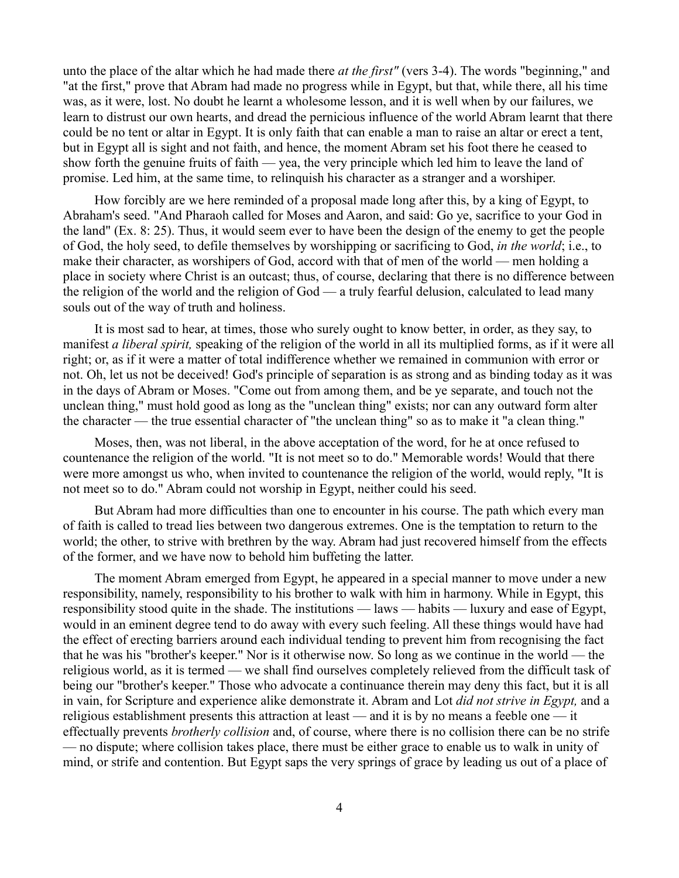unto the place of the altar which he had made there *at the first"* (vers 3-4). The words "beginning," and "at the first," prove that Abram had made no progress while in Egypt, but that, while there, all his time was, as it were, lost. No doubt he learnt a wholesome lesson, and it is well when by our failures, we learn to distrust our own hearts, and dread the pernicious influence of the world Abram learnt that there could be no tent or altar in Egypt. It is only faith that can enable a man to raise an altar or erect a tent, but in Egypt all is sight and not faith, and hence, the moment Abram set his foot there he ceased to show forth the genuine fruits of faith — yea, the very principle which led him to leave the land of promise. Led him, at the same time, to relinquish his character as a stranger and a worshiper.

How forcibly are we here reminded of a proposal made long after this, by a king of Egypt, to Abraham's seed. "And Pharaoh called for Moses and Aaron, and said: Go ye, sacrifice to your God in the land" (Ex. 8: 25). Thus, it would seem ever to have been the design of the enemy to get the people of God, the holy seed, to defile themselves by worshipping or sacrificing to God, *in the world*; i.e., to make their character, as worshipers of God, accord with that of men of the world — men holding a place in society where Christ is an outcast; thus, of course, declaring that there is no difference between the religion of the world and the religion of God — a truly fearful delusion, calculated to lead many souls out of the way of truth and holiness.

It is most sad to hear, at times, those who surely ought to know better, in order, as they say, to manifest *a liberal spirit,* speaking of the religion of the world in all its multiplied forms, as if it were all right; or, as if it were a matter of total indifference whether we remained in communion with error or not. Oh, let us not be deceived! God's principle of separation is as strong and as binding today as it was in the days of Abram or Moses. "Come out from among them, and be ye separate, and touch not the unclean thing," must hold good as long as the "unclean thing" exists; nor can any outward form alter the character — the true essential character of "the unclean thing" so as to make it "a clean thing."

Moses, then, was not liberal, in the above acceptation of the word, for he at once refused to countenance the religion of the world. "It is not meet so to do." Memorable words! Would that there were more amongst us who, when invited to countenance the religion of the world, would reply, "It is not meet so to do." Abram could not worship in Egypt, neither could his seed.

But Abram had more difficulties than one to encounter in his course. The path which every man of faith is called to tread lies between two dangerous extremes. One is the temptation to return to the world; the other, to strive with brethren by the way. Abram had just recovered himself from the effects of the former, and we have now to behold him buffeting the latter.

The moment Abram emerged from Egypt, he appeared in a special manner to move under a new responsibility, namely, responsibility to his brother to walk with him in harmony. While in Egypt, this responsibility stood quite in the shade. The institutions — laws — habits — luxury and ease of Egypt, would in an eminent degree tend to do away with every such feeling. All these things would have had the effect of erecting barriers around each individual tending to prevent him from recognising the fact that he was his "brother's keeper." Nor is it otherwise now. So long as we continue in the world — the religious world, as it is termed — we shall find ourselves completely relieved from the difficult task of being our "brother's keeper." Those who advocate a continuance therein may deny this fact, but it is all in vain, for Scripture and experience alike demonstrate it. Abram and Lot *did not strive in Egypt,* and a religious establishment presents this attraction at least — and it is by no means a feeble one — it effectually prevents *brotherly collision* and, of course, where there is no collision there can be no strife — no dispute; where collision takes place, there must be either grace to enable us to walk in unity of mind, or strife and contention. But Egypt saps the very springs of grace by leading us out of a place of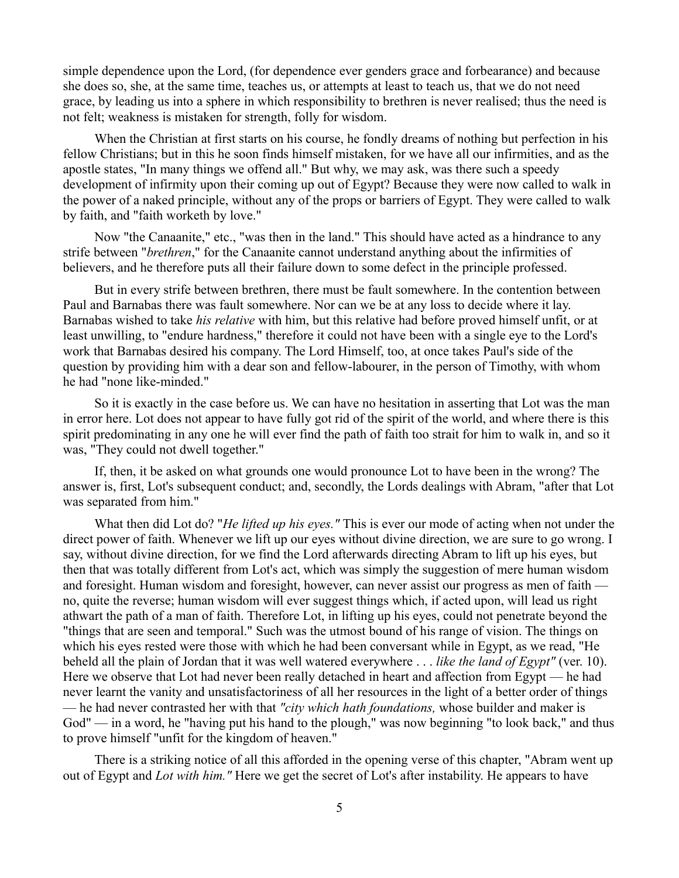simple dependence upon the Lord, (for dependence ever genders grace and forbearance) and because she does so, she, at the same time, teaches us, or attempts at least to teach us, that we do not need grace, by leading us into a sphere in which responsibility to brethren is never realised; thus the need is not felt; weakness is mistaken for strength, folly for wisdom.

When the Christian at first starts on his course, he fondly dreams of nothing but perfection in his fellow Christians; but in this he soon finds himself mistaken, for we have all our infirmities, and as the apostle states, "In many things we offend all." But why, we may ask, was there such a speedy development of infirmity upon their coming up out of Egypt? Because they were now called to walk in the power of a naked principle, without any of the props or barriers of Egypt. They were called to walk by faith, and "faith worketh by love."

Now "the Canaanite," etc., "was then in the land." This should have acted as a hindrance to any strife between "*brethren*," for the Canaanite cannot understand anything about the infirmities of believers, and he therefore puts all their failure down to some defect in the principle professed.

But in every strife between brethren, there must be fault somewhere. In the contention between Paul and Barnabas there was fault somewhere. Nor can we be at any loss to decide where it lay. Barnabas wished to take *his relative* with him, but this relative had before proved himself unfit, or at least unwilling, to "endure hardness," therefore it could not have been with a single eye to the Lord's work that Barnabas desired his company. The Lord Himself, too, at once takes Paul's side of the question by providing him with a dear son and fellow-labourer, in the person of Timothy, with whom he had "none like-minded."

So it is exactly in the case before us. We can have no hesitation in asserting that Lot was the man in error here. Lot does not appear to have fully got rid of the spirit of the world, and where there is this spirit predominating in any one he will ever find the path of faith too strait for him to walk in, and so it was, "They could not dwell together."

If, then, it be asked on what grounds one would pronounce Lot to have been in the wrong? The answer is, first, Lot's subsequent conduct; and, secondly, the Lords dealings with Abram, "after that Lot was separated from him."

What then did Lot do? "*He lifted up his eyes."* This is ever our mode of acting when not under the direct power of faith. Whenever we lift up our eyes without divine direction, we are sure to go wrong. I say, without divine direction, for we find the Lord afterwards directing Abram to lift up his eyes, but then that was totally different from Lot's act, which was simply the suggestion of mere human wisdom and foresight. Human wisdom and foresight, however, can never assist our progress as men of faith no, quite the reverse; human wisdom will ever suggest things which, if acted upon, will lead us right athwart the path of a man of faith. Therefore Lot, in lifting up his eyes, could not penetrate beyond the "things that are seen and temporal." Such was the utmost bound of his range of vision. The things on which his eyes rested were those with which he had been conversant while in Egypt, as we read, "He beheld all the plain of Jordan that it was well watered everywhere . . . *like the land of Egypt"* (ver. 10). Here we observe that Lot had never been really detached in heart and affection from Egypt — he had never learnt the vanity and unsatisfactoriness of all her resources in the light of a better order of things — he had never contrasted her with that *"city which hath foundations,* whose builder and maker is God" — in a word, he "having put his hand to the plough," was now beginning "to look back," and thus to prove himself "unfit for the kingdom of heaven."

There is a striking notice of all this afforded in the opening verse of this chapter, "Abram went up out of Egypt and *Lot with him."* Here we get the secret of Lot's after instability. He appears to have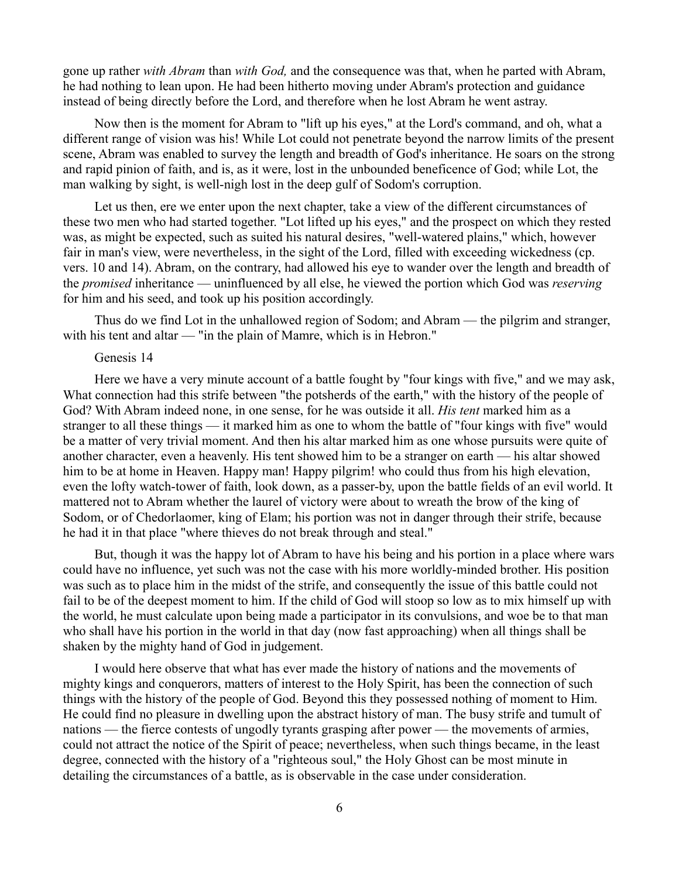gone up rather *with Abram* than *with God,* and the consequence was that, when he parted with Abram, he had nothing to lean upon. He had been hitherto moving under Abram's protection and guidance instead of being directly before the Lord, and therefore when he lost Abram he went astray.

Now then is the moment for Abram to "lift up his eyes," at the Lord's command, and oh, what a different range of vision was his! While Lot could not penetrate beyond the narrow limits of the present scene, Abram was enabled to survey the length and breadth of God's inheritance. He soars on the strong and rapid pinion of faith, and is, as it were, lost in the unbounded beneficence of God; while Lot, the man walking by sight, is well-nigh lost in the deep gulf of Sodom's corruption.

Let us then, ere we enter upon the next chapter, take a view of the different circumstances of these two men who had started together. "Lot lifted up his eyes," and the prospect on which they rested was, as might be expected, such as suited his natural desires, "well-watered plains," which, however fair in man's view, were nevertheless, in the sight of the Lord, filled with exceeding wickedness (cp. vers. 10 and 14). Abram, on the contrary, had allowed his eye to wander over the length and breadth of the *promised* inheritance — uninfluenced by all else, he viewed the portion which God was *reserving* for him and his seed, and took up his position accordingly.

Thus do we find Lot in the unhallowed region of Sodom; and Abram — the pilgrim and stranger, with his tent and altar — "in the plain of Mamre, which is in Hebron."

#### Genesis 14

Here we have a very minute account of a battle fought by "four kings with five," and we may ask, What connection had this strife between "the potsherds of the earth," with the history of the people of God? With Abram indeed none, in one sense, for he was outside it all. *His tent* marked him as a stranger to all these things — it marked him as one to whom the battle of "four kings with five" would be a matter of very trivial moment. And then his altar marked him as one whose pursuits were quite of another character, even a heavenly. His tent showed him to be a stranger on earth — his altar showed him to be at home in Heaven. Happy man! Happy pilgrim! who could thus from his high elevation, even the lofty watch-tower of faith, look down, as a passer-by, upon the battle fields of an evil world. It mattered not to Abram whether the laurel of victory were about to wreath the brow of the king of Sodom, or of Chedorlaomer, king of Elam; his portion was not in danger through their strife, because he had it in that place "where thieves do not break through and steal."

But, though it was the happy lot of Abram to have his being and his portion in a place where wars could have no influence, yet such was not the case with his more worldly-minded brother. His position was such as to place him in the midst of the strife, and consequently the issue of this battle could not fail to be of the deepest moment to him. If the child of God will stoop so low as to mix himself up with the world, he must calculate upon being made a participator in its convulsions, and woe be to that man who shall have his portion in the world in that day (now fast approaching) when all things shall be shaken by the mighty hand of God in judgement.

I would here observe that what has ever made the history of nations and the movements of mighty kings and conquerors, matters of interest to the Holy Spirit, has been the connection of such things with the history of the people of God. Beyond this they possessed nothing of moment to Him. He could find no pleasure in dwelling upon the abstract history of man. The busy strife and tumult of nations — the fierce contests of ungodly tyrants grasping after power — the movements of armies, could not attract the notice of the Spirit of peace; nevertheless, when such things became, in the least degree, connected with the history of a "righteous soul," the Holy Ghost can be most minute in detailing the circumstances of a battle, as is observable in the case under consideration.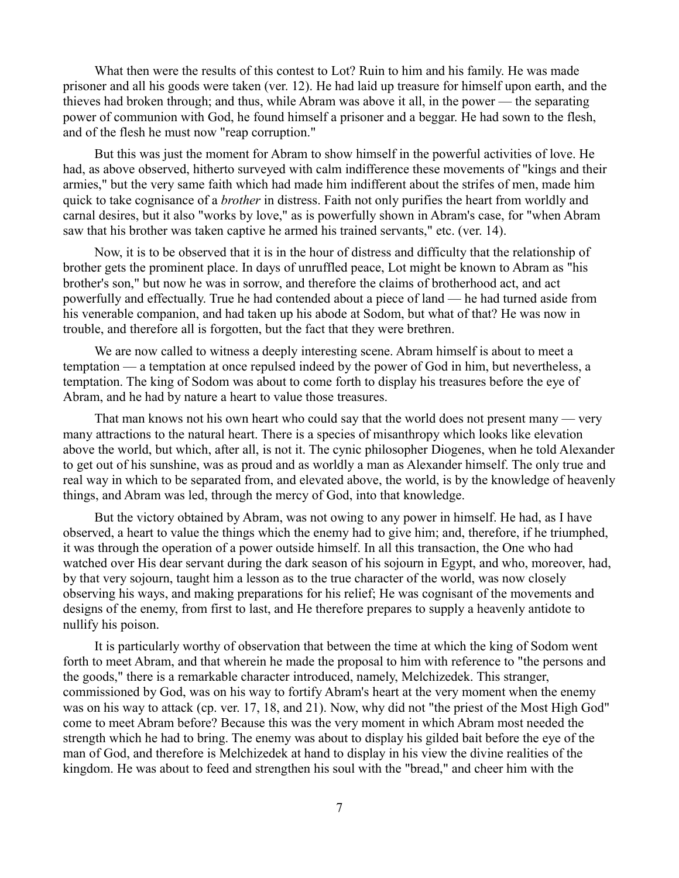What then were the results of this contest to Lot? Ruin to him and his family. He was made prisoner and all his goods were taken (ver. 12). He had laid up treasure for himself upon earth, and the thieves had broken through; and thus, while Abram was above it all, in the power — the separating power of communion with God, he found himself a prisoner and a beggar. He had sown to the flesh, and of the flesh he must now "reap corruption."

But this was just the moment for Abram to show himself in the powerful activities of love. He had, as above observed, hitherto surveyed with calm indifference these movements of "kings and their armies," but the very same faith which had made him indifferent about the strifes of men, made him quick to take cognisance of a *brother* in distress. Faith not only purifies the heart from worldly and carnal desires, but it also "works by love," as is powerfully shown in Abram's case, for "when Abram saw that his brother was taken captive he armed his trained servants," etc. (ver. 14).

Now, it is to be observed that it is in the hour of distress and difficulty that the relationship of brother gets the prominent place. In days of unruffled peace, Lot might be known to Abram as "his brother's son," but now he was in sorrow, and therefore the claims of brotherhood act, and act powerfully and effectually. True he had contended about a piece of land — he had turned aside from his venerable companion, and had taken up his abode at Sodom, but what of that? He was now in trouble, and therefore all is forgotten, but the fact that they were brethren.

We are now called to witness a deeply interesting scene. Abram himself is about to meet a temptation — a temptation at once repulsed indeed by the power of God in him, but nevertheless, a temptation. The king of Sodom was about to come forth to display his treasures before the eye of Abram, and he had by nature a heart to value those treasures.

That man knows not his own heart who could say that the world does not present many — very many attractions to the natural heart. There is a species of misanthropy which looks like elevation above the world, but which, after all, is not it. The cynic philosopher Diogenes, when he told Alexander to get out of his sunshine, was as proud and as worldly a man as Alexander himself. The only true and real way in which to be separated from, and elevated above, the world, is by the knowledge of heavenly things, and Abram was led, through the mercy of God, into that knowledge.

But the victory obtained by Abram, was not owing to any power in himself. He had, as I have observed, a heart to value the things which the enemy had to give him; and, therefore, if he triumphed, it was through the operation of a power outside himself. In all this transaction, the One who had watched over His dear servant during the dark season of his sojourn in Egypt, and who, moreover, had, by that very sojourn, taught him a lesson as to the true character of the world, was now closely observing his ways, and making preparations for his relief; He was cognisant of the movements and designs of the enemy, from first to last, and He therefore prepares to supply a heavenly antidote to nullify his poison.

It is particularly worthy of observation that between the time at which the king of Sodom went forth to meet Abram, and that wherein he made the proposal to him with reference to "the persons and the goods," there is a remarkable character introduced, namely, Melchizedek. This stranger, commissioned by God, was on his way to fortify Abram's heart at the very moment when the enemy was on his way to attack (cp. ver. 17, 18, and 21). Now, why did not "the priest of the Most High God" come to meet Abram before? Because this was the very moment in which Abram most needed the strength which he had to bring. The enemy was about to display his gilded bait before the eye of the man of God, and therefore is Melchizedek at hand to display in his view the divine realities of the kingdom. He was about to feed and strengthen his soul with the "bread," and cheer him with the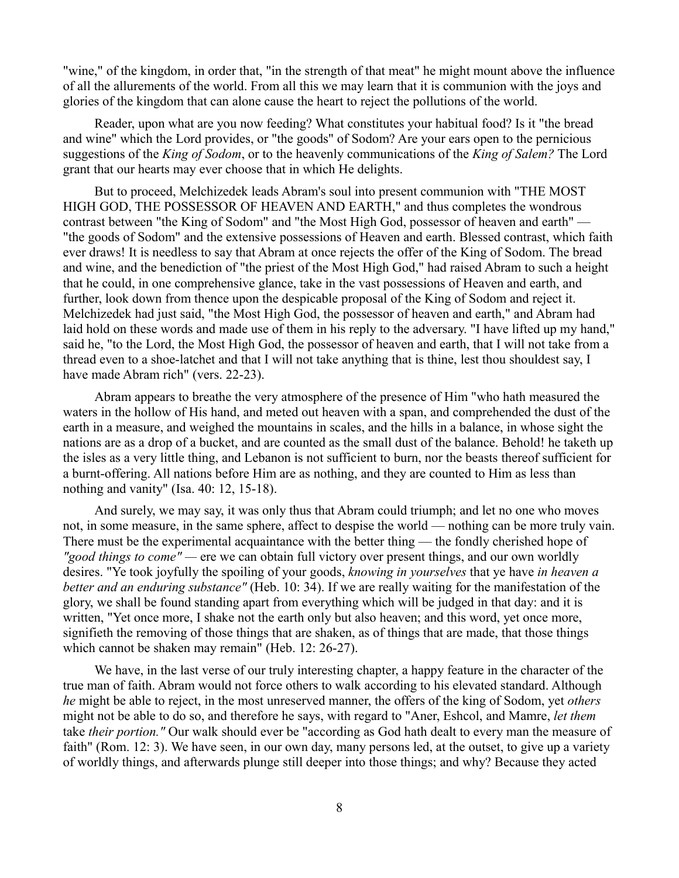"wine," of the kingdom, in order that, "in the strength of that meat" he might mount above the influence of all the allurements of the world. From all this we may learn that it is communion with the joys and glories of the kingdom that can alone cause the heart to reject the pollutions of the world.

Reader, upon what are you now feeding? What constitutes your habitual food? Is it "the bread and wine" which the Lord provides, or "the goods" of Sodom? Are your ears open to the pernicious suggestions of the *King of Sodom*, or to the heavenly communications of the *King of Salem?* The Lord grant that our hearts may ever choose that in which He delights.

But to proceed, Melchizedek leads Abram's soul into present communion with "THE MOST HIGH GOD, THE POSSESSOR OF HEAVEN AND EARTH," and thus completes the wondrous contrast between "the King of Sodom" and "the Most High God, possessor of heaven and earth" — "the goods of Sodom" and the extensive possessions of Heaven and earth. Blessed contrast, which faith ever draws! It is needless to say that Abram at once rejects the offer of the King of Sodom. The bread and wine, and the benediction of "the priest of the Most High God," had raised Abram to such a height that he could, in one comprehensive glance, take in the vast possessions of Heaven and earth, and further, look down from thence upon the despicable proposal of the King of Sodom and reject it. Melchizedek had just said, "the Most High God, the possessor of heaven and earth," and Abram had laid hold on these words and made use of them in his reply to the adversary. "I have lifted up my hand," said he, "to the Lord, the Most High God, the possessor of heaven and earth, that I will not take from a thread even to a shoe-latchet and that I will not take anything that is thine, lest thou shouldest say, I have made Abram rich" (vers. 22-23).

Abram appears to breathe the very atmosphere of the presence of Him "who hath measured the waters in the hollow of His hand, and meted out heaven with a span, and comprehended the dust of the earth in a measure, and weighed the mountains in scales, and the hills in a balance, in whose sight the nations are as a drop of a bucket, and are counted as the small dust of the balance. Behold! he taketh up the isles as a very little thing, and Lebanon is not sufficient to burn, nor the beasts thereof sufficient for a burnt-offering. All nations before Him are as nothing, and they are counted to Him as less than nothing and vanity" (Isa. 40: 12, 15-18).

And surely, we may say, it was only thus that Abram could triumph; and let no one who moves not, in some measure, in the same sphere, affect to despise the world — nothing can be more truly vain. There must be the experimental acquaintance with the better thing — the fondly cherished hope of *"good things to come" —* ere we can obtain full victory over present things, and our own worldly desires. "Ye took joyfully the spoiling of your goods, *knowing in yourselves* that ye have *in heaven a better and an enduring substance"* (Heb. 10: 34). If we are really waiting for the manifestation of the glory, we shall be found standing apart from everything which will be judged in that day: and it is written, "Yet once more, I shake not the earth only but also heaven; and this word, yet once more, signifieth the removing of those things that are shaken, as of things that are made, that those things which cannot be shaken may remain" (Heb. 12: 26-27).

We have, in the last verse of our truly interesting chapter, a happy feature in the character of the true man of faith. Abram would not force others to walk according to his elevated standard. Although *he* might be able to reject, in the most unreserved manner, the offers of the king of Sodom, yet *others* might not be able to do so, and therefore he says, with regard to "Aner, Eshcol, and Mamre, *let them* take *their portion."* Our walk should ever be "according as God hath dealt to every man the measure of faith" (Rom. 12: 3). We have seen, in our own day, many persons led, at the outset, to give up a variety of worldly things, and afterwards plunge still deeper into those things; and why? Because they acted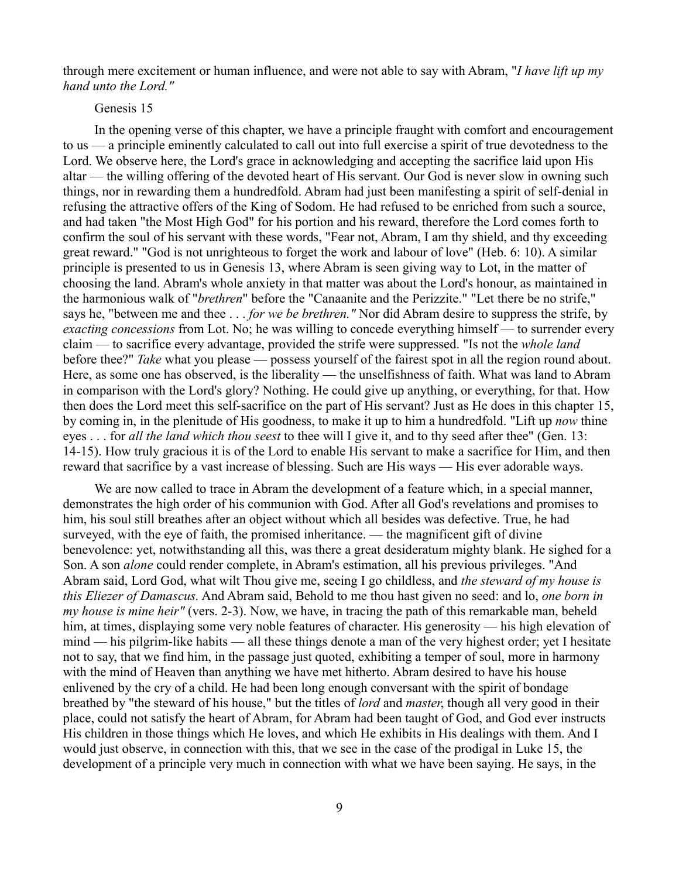through mere excitement or human influence, and were not able to say with Abram, "*I have lift up my hand unto the Lord."* 

#### Genesis 15

In the opening verse of this chapter, we have a principle fraught with comfort and encouragement to us — a principle eminently calculated to call out into full exercise a spirit of true devotedness to the Lord. We observe here, the Lord's grace in acknowledging and accepting the sacrifice laid upon His altar — the willing offering of the devoted heart of His servant. Our God is never slow in owning such things, nor in rewarding them a hundredfold. Abram had just been manifesting a spirit of self-denial in refusing the attractive offers of the King of Sodom. He had refused to be enriched from such a source, and had taken "the Most High God" for his portion and his reward, therefore the Lord comes forth to confirm the soul of his servant with these words, "Fear not, Abram, I am thy shield, and thy exceeding great reward." "God is not unrighteous to forget the work and labour of love" (Heb. 6: 10). A similar principle is presented to us in Genesis 13, where Abram is seen giving way to Lot, in the matter of choosing the land. Abram's whole anxiety in that matter was about the Lord's honour, as maintained in the harmonious walk of "*brethren*" before the "Canaanite and the Perizzite." "Let there be no strife," says he, "between me and thee . . . *for we be brethren."* Nor did Abram desire to suppress the strife, by *exacting concessions* from Lot. No; he was willing to concede everything himself — to surrender every claim — to sacrifice every advantage, provided the strife were suppressed. "Is not the *whole land* before thee?" *Take* what you please — possess yourself of the fairest spot in all the region round about. Here, as some one has observed, is the liberality — the unselfishness of faith. What was land to Abram in comparison with the Lord's glory? Nothing. He could give up anything, or everything, for that. How then does the Lord meet this self-sacrifice on the part of His servant? Just as He does in this chapter 15, by coming in, in the plenitude of His goodness, to make it up to him a hundredfold. "Lift up *now* thine eyes . . . for *all the land which thou seest* to thee will I give it, and to thy seed after thee" (Gen. 13: 14-15). How truly gracious it is of the Lord to enable His servant to make a sacrifice for Him, and then reward that sacrifice by a vast increase of blessing. Such are His ways — His ever adorable ways.

We are now called to trace in Abram the development of a feature which, in a special manner, demonstrates the high order of his communion with God. After all God's revelations and promises to him, his soul still breathes after an object without which all besides was defective. True, he had surveyed, with the eye of faith, the promised inheritance. — the magnificent gift of divine benevolence: yet, notwithstanding all this, was there a great desideratum mighty blank. He sighed for a Son. A son *alone* could render complete, in Abram's estimation, all his previous privileges. "And Abram said, Lord God, what wilt Thou give me, seeing I go childless, and *the steward of my house is this Eliezer of Damascus.* And Abram said, Behold to me thou hast given no seed: and lo, *one born in my house is mine heir"* (vers. 2-3). Now, we have, in tracing the path of this remarkable man, beheld him, at times, displaying some very noble features of character. His generosity — his high elevation of mind — his pilgrim-like habits — all these things denote a man of the very highest order; yet I hesitate not to say, that we find him, in the passage just quoted, exhibiting a temper of soul, more in harmony with the mind of Heaven than anything we have met hitherto. Abram desired to have his house enlivened by the cry of a child. He had been long enough conversant with the spirit of bondage breathed by "the steward of his house," but the titles of *lord* and *master*, though all very good in their place, could not satisfy the heart of Abram, for Abram had been taught of God, and God ever instructs His children in those things which He loves, and which He exhibits in His dealings with them. And I would just observe, in connection with this, that we see in the case of the prodigal in Luke 15, the development of a principle very much in connection with what we have been saying. He says, in the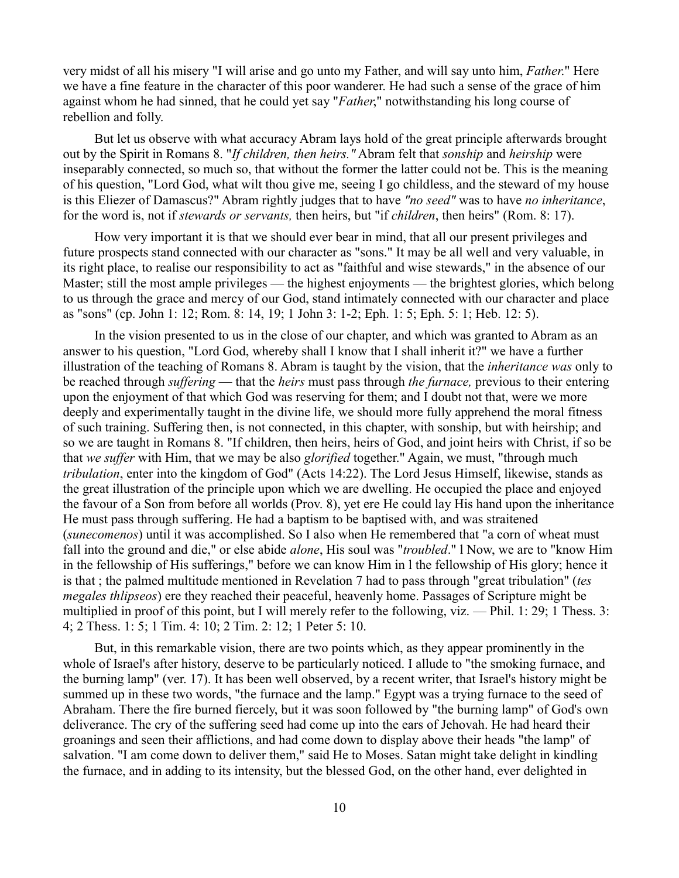very midst of all his misery "I will arise and go unto my Father, and will say unto him, *Father*." Here we have a fine feature in the character of this poor wanderer. He had such a sense of the grace of him against whom he had sinned, that he could yet say "*Father*," notwithstanding his long course of rebellion and folly.

But let us observe with what accuracy Abram lays hold of the great principle afterwards brought out by the Spirit in Romans 8. "*If children, then heirs."* Abram felt that *sonship* and *heirship* were inseparably connected, so much so, that without the former the latter could not be. This is the meaning of his question, "Lord God, what wilt thou give me, seeing I go childless, and the steward of my house is this Eliezer of Damascus?" Abram rightly judges that to have *"no seed"* was to have *no inheritance*, for the word is, not if *stewards or servants,* then heirs, but "if *children*, then heirs" (Rom. 8: 17).

How very important it is that we should ever bear in mind, that all our present privileges and future prospects stand connected with our character as "sons." It may be all well and very valuable, in its right place, to realise our responsibility to act as "faithful and wise stewards," in the absence of our Master; still the most ample privileges — the highest enjoyments — the brightest glories, which belong to us through the grace and mercy of our God, stand intimately connected with our character and place as "sons" (cp. John 1: 12; Rom. 8: 14, 19; 1 John 3: 1-2; Eph. 1: 5; Eph. 5: 1; Heb. 12: 5).

In the vision presented to us in the close of our chapter, and which was granted to Abram as an answer to his question, "Lord God, whereby shall I know that I shall inherit it?" we have a further illustration of the teaching of Romans 8. Abram is taught by the vision, that the *inheritance was* only to be reached through *suffering* — that the *heirs* must pass through *the furnace,* previous to their entering upon the enjoyment of that which God was reserving for them; and I doubt not that, were we more deeply and experimentally taught in the divine life, we should more fully apprehend the moral fitness of such training. Suffering then, is not connected, in this chapter, with sonship, but with heirship; and so we are taught in Romans 8. "If children, then heirs, heirs of God, and joint heirs with Christ, if so be that *we suffer* with Him, that we may be also *glorified* together." Again, we must, "through much *tribulation*, enter into the kingdom of God" (Acts 14:22). The Lord Jesus Himself, likewise, stands as the great illustration of the principle upon which we are dwelling. He occupied the place and enjoyed the favour of a Son from before all worlds (Prov. 8), yet ere He could lay His hand upon the inheritance He must pass through suffering. He had a baptism to be baptised with, and was straitened (*sunecomenos*) until it was accomplished. So I also when He remembered that "a corn of wheat must fall into the ground and die," or else abide *alone*, His soul was "*troubled*." l Now, we are to "know Him in the fellowship of His sufferings," before we can know Him in l the fellowship of His glory; hence it is that ; the palmed multitude mentioned in Revelation 7 had to pass through "great tribulation" (*tes megales thlipseos*) ere they reached their peaceful, heavenly home. Passages of Scripture might be multiplied in proof of this point, but I will merely refer to the following, viz. — Phil. 1: 29; 1 Thess. 3: 4; 2 Thess. 1: 5; 1 Tim. 4: 10; 2 Tim. 2: 12; 1 Peter 5: 10.

But, in this remarkable vision, there are two points which, as they appear prominently in the whole of Israel's after history, deserve to be particularly noticed. I allude to "the smoking furnace, and the burning lamp" (ver. 17). It has been well observed, by a recent writer, that Israel's history might be summed up in these two words, "the furnace and the lamp." Egypt was a trying furnace to the seed of Abraham. There the fire burned fiercely, but it was soon followed by "the burning lamp" of God's own deliverance. The cry of the suffering seed had come up into the ears of Jehovah. He had heard their groanings and seen their afflictions, and had come down to display above their heads "the lamp" of salvation. "I am come down to deliver them," said He to Moses. Satan might take delight in kindling the furnace, and in adding to its intensity, but the blessed God, on the other hand, ever delighted in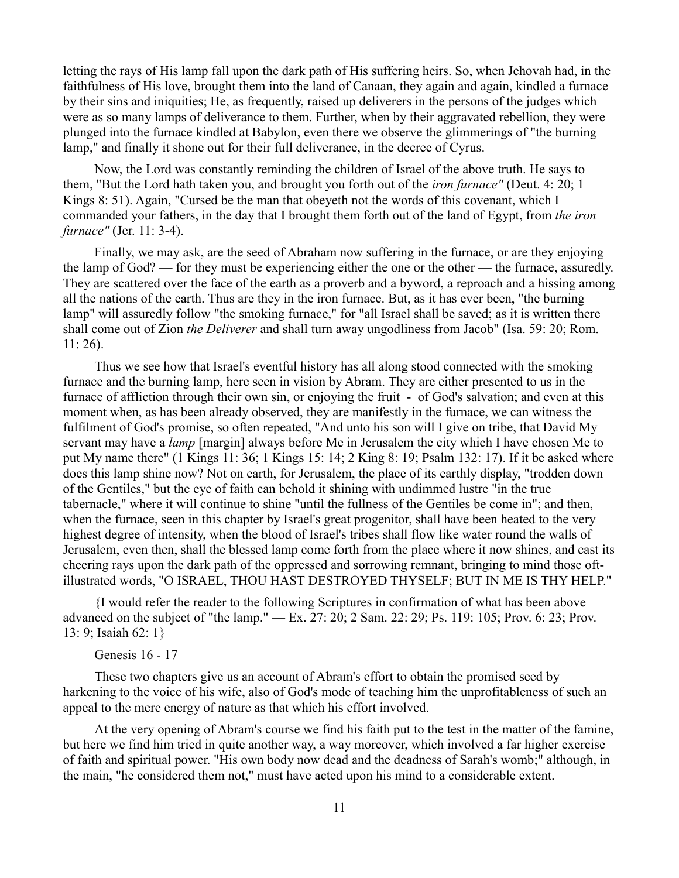letting the rays of His lamp fall upon the dark path of His suffering heirs. So, when Jehovah had, in the faithfulness of His love, brought them into the land of Canaan, they again and again, kindled a furnace by their sins and iniquities; He, as frequently, raised up deliverers in the persons of the judges which were as so many lamps of deliverance to them. Further, when by their aggravated rebellion, they were plunged into the furnace kindled at Babylon, even there we observe the glimmerings of "the burning lamp," and finally it shone out for their full deliverance, in the decree of Cyrus.

Now, the Lord was constantly reminding the children of Israel of the above truth. He says to them, "But the Lord hath taken you, and brought you forth out of the *iron furnace"* (Deut. 4: 20; 1 Kings 8: 51). Again, "Cursed be the man that obeyeth not the words of this covenant, which I commanded your fathers, in the day that I brought them forth out of the land of Egypt, from *the iron furnace"* (Jer. 11: 3-4).

Finally, we may ask, are the seed of Abraham now suffering in the furnace, or are they enjoying the lamp of God? — for they must be experiencing either the one or the other — the furnace, assuredly. They are scattered over the face of the earth as a proverb and a byword, a reproach and a hissing among all the nations of the earth. Thus are they in the iron furnace. But, as it has ever been, "the burning lamp" will assuredly follow "the smoking furnace," for "all Israel shall be saved; as it is written there shall come out of Zion *the Deliverer* and shall turn away ungodliness from Jacob" (Isa. 59: 20; Rom. 11: 26).

Thus we see how that Israel's eventful history has all along stood connected with the smoking furnace and the burning lamp, here seen in vision by Abram. They are either presented to us in the furnace of affliction through their own sin, or enjoying the fruit - of God's salvation; and even at this moment when, as has been already observed, they are manifestly in the furnace, we can witness the fulfilment of God's promise, so often repeated, "And unto his son will I give on tribe, that David My servant may have a *lamp* [margin] always before Me in Jerusalem the city which I have chosen Me to put My name there" (1 Kings 11: 36; 1 Kings 15: 14; 2 King 8: 19; Psalm 132: 17). If it be asked where does this lamp shine now? Not on earth, for Jerusalem, the place of its earthly display, "trodden down of the Gentiles," but the eye of faith can behold it shining with undimmed lustre "in the true tabernacle," where it will continue to shine "until the fullness of the Gentiles be come in"; and then, when the furnace, seen in this chapter by Israel's great progenitor, shall have been heated to the very highest degree of intensity, when the blood of Israel's tribes shall flow like water round the walls of Jerusalem, even then, shall the blessed lamp come forth from the place where it now shines, and cast its cheering rays upon the dark path of the oppressed and sorrowing remnant, bringing to mind those oftillustrated words, "O ISRAEL, THOU HAST DESTROYED THYSELF; BUT IN ME IS THY HELP."

{I would refer the reader to the following Scriptures in confirmation of what has been above advanced on the subject of "the lamp." — Ex. 27: 20; 2 Sam. 22: 29; Ps. 119: 105; Prov. 6: 23; Prov. 13: 9; Isaiah 62: 1}

# Genesis 16 - 17

These two chapters give us an account of Abram's effort to obtain the promised seed by harkening to the voice of his wife, also of God's mode of teaching him the unprofitableness of such an appeal to the mere energy of nature as that which his effort involved.

At the very opening of Abram's course we find his faith put to the test in the matter of the famine, but here we find him tried in quite another way, a way moreover, which involved a far higher exercise of faith and spiritual power. "His own body now dead and the deadness of Sarah's womb;" although, in the main, "he considered them not," must have acted upon his mind to a considerable extent.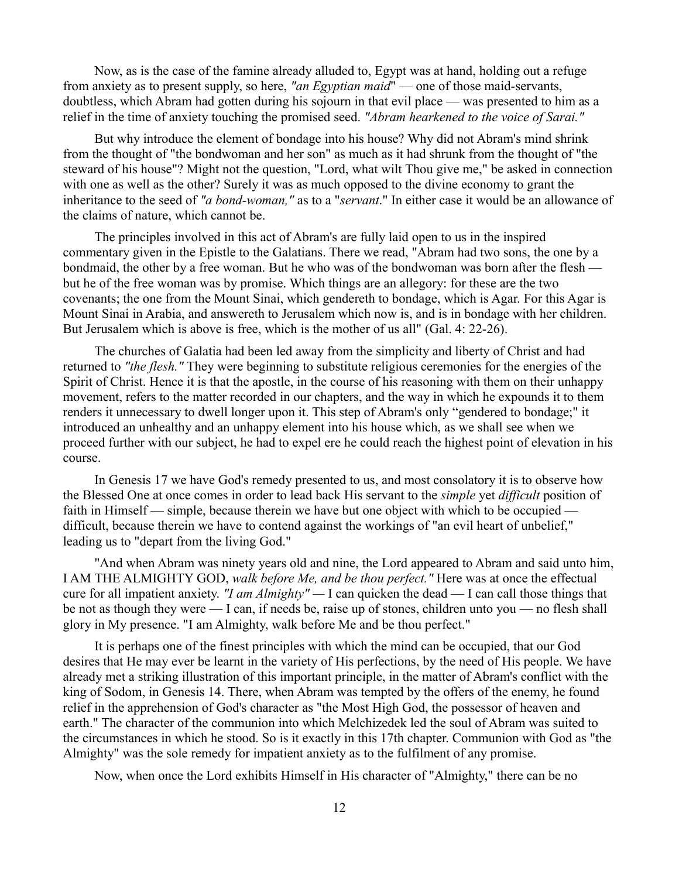Now, as is the case of the famine already alluded to, Egypt was at hand, holding out a refuge from anxiety as to present supply, so here, *"an Egyptian maid*" — one of those maid-servants, doubtless, which Abram had gotten during his sojourn in that evil place — was presented to him as a relief in the time of anxiety touching the promised seed. *"Abram hearkened to the voice of Sarai."*

But why introduce the element of bondage into his house? Why did not Abram's mind shrink from the thought of "the bondwoman and her son" as much as it had shrunk from the thought of "the steward of his house"? Might not the question, "Lord, what wilt Thou give me," be asked in connection with one as well as the other? Surely it was as much opposed to the divine economy to grant the inheritance to the seed of *"a bond-woman,"* as to a "*servant*." In either case it would be an allowance of the claims of nature, which cannot be.

The principles involved in this act of Abram's are fully laid open to us in the inspired commentary given in the Epistle to the Galatians. There we read, "Abram had two sons, the one by a bondmaid, the other by a free woman. But he who was of the bondwoman was born after the flesh but he of the free woman was by promise. Which things are an allegory: for these are the two covenants; the one from the Mount Sinai, which gendereth to bondage, which is Agar. For this Agar is Mount Sinai in Arabia, and answereth to Jerusalem which now is, and is in bondage with her children. But Jerusalem which is above is free, which is the mother of us all" (Gal. 4: 22-26).

The churches of Galatia had been led away from the simplicity and liberty of Christ and had returned to *"the flesh."* They were beginning to substitute religious ceremonies for the energies of the Spirit of Christ. Hence it is that the apostle, in the course of his reasoning with them on their unhappy movement, refers to the matter recorded in our chapters, and the way in which he expounds it to them renders it unnecessary to dwell longer upon it. This step of Abram's only "gendered to bondage;" it introduced an unhealthy and an unhappy element into his house which, as we shall see when we proceed further with our subject, he had to expel ere he could reach the highest point of elevation in his course.

In Genesis 17 we have God's remedy presented to us, and most consolatory it is to observe how the Blessed One at once comes in order to lead back His servant to the *simple* yet *difficult* position of faith in Himself — simple, because therein we have but one object with which to be occupied difficult, because therein we have to contend against the workings of "an evil heart of unbelief," leading us to "depart from the living God."

"And when Abram was ninety years old and nine, the Lord appeared to Abram and said unto him, I AM THE ALMIGHTY GOD, *walk before Me, and be thou perfect."* Here was at once the effectual cure for all impatient anxiety. *"I am Almighty" —* I can quicken the dead — I can call those things that be not as though they were — I can, if needs be, raise up of stones, children unto you — no flesh shall glory in My presence. "I am Almighty, walk before Me and be thou perfect."

It is perhaps one of the finest principles with which the mind can be occupied, that our God desires that He may ever be learnt in the variety of His perfections, by the need of His people. We have already met a striking illustration of this important principle, in the matter of Abram's conflict with the king of Sodom, in Genesis 14. There, when Abram was tempted by the offers of the enemy, he found relief in the apprehension of God's character as "the Most High God, the possessor of heaven and earth." The character of the communion into which Melchizedek led the soul of Abram was suited to the circumstances in which he stood. So is it exactly in this 17th chapter. Communion with God as "the Almighty" was the sole remedy for impatient anxiety as to the fulfilment of any promise.

Now, when once the Lord exhibits Himself in His character of "Almighty," there can be no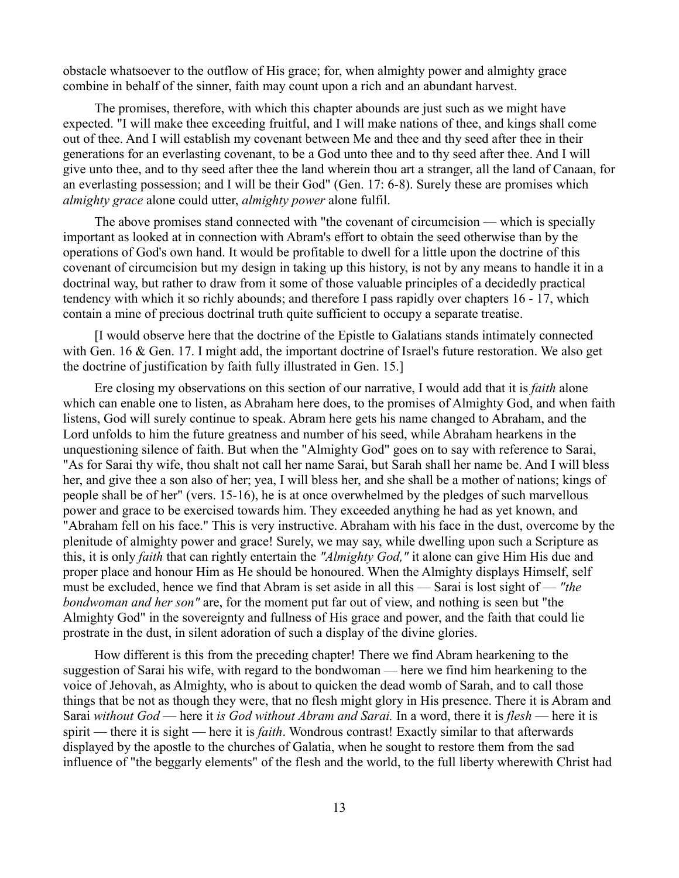obstacle whatsoever to the outflow of His grace; for, when almighty power and almighty grace combine in behalf of the sinner, faith may count upon a rich and an abundant harvest.

The promises, therefore, with which this chapter abounds are just such as we might have expected. "I will make thee exceeding fruitful, and I will make nations of thee, and kings shall come out of thee. And I will establish my covenant between Me and thee and thy seed after thee in their generations for an everlasting covenant, to be a God unto thee and to thy seed after thee. And I will give unto thee, and to thy seed after thee the land wherein thou art a stranger, all the land of Canaan, for an everlasting possession; and I will be their God" (Gen. 17: 6-8). Surely these are promises which *almighty grace* alone could utter, *almighty power* alone fulfil.

The above promises stand connected with "the covenant of circumcision — which is specially important as looked at in connection with Abram's effort to obtain the seed otherwise than by the operations of God's own hand. It would be profitable to dwell for a little upon the doctrine of this covenant of circumcision but my design in taking up this history, is not by any means to handle it in a doctrinal way, but rather to draw from it some of those valuable principles of a decidedly practical tendency with which it so richly abounds; and therefore I pass rapidly over chapters 16 - 17, which contain a mine of precious doctrinal truth quite sufficient to occupy a separate treatise.

[I would observe here that the doctrine of the Epistle to Galatians stands intimately connected with Gen. 16 & Gen. 17. I might add, the important doctrine of Israel's future restoration. We also get the doctrine of justification by faith fully illustrated in Gen. 15.]

Ere closing my observations on this section of our narrative, I would add that it is *faith* alone which can enable one to listen, as Abraham here does, to the promises of Almighty God, and when faith listens, God will surely continue to speak. Abram here gets his name changed to Abraham, and the Lord unfolds to him the future greatness and number of his seed, while Abraham hearkens in the unquestioning silence of faith. But when the "Almighty God" goes on to say with reference to Sarai, "As for Sarai thy wife, thou shalt not call her name Sarai, but Sarah shall her name be. And I will bless her, and give thee a son also of her; yea, I will bless her, and she shall be a mother of nations; kings of people shall be of her" (vers. 15-16), he is at once overwhelmed by the pledges of such marvellous power and grace to be exercised towards him. They exceeded anything he had as yet known, and "Abraham fell on his face." This is very instructive. Abraham with his face in the dust, overcome by the plenitude of almighty power and grace! Surely, we may say, while dwelling upon such a Scripture as this, it is only *faith* that can rightly entertain the *"Almighty God,"* it alone can give Him His due and proper place and honour Him as He should be honoured. When the Almighty displays Himself, self must be excluded, hence we find that Abram is set aside in all this — Sarai is lost sight of — *"the bondwoman and her son"* are, for the moment put far out of view, and nothing is seen but "the Almighty God" in the sovereignty and fullness of His grace and power, and the faith that could lie prostrate in the dust, in silent adoration of such a display of the divine glories.

How different is this from the preceding chapter! There we find Abram hearkening to the suggestion of Sarai his wife, with regard to the bondwoman — here we find him hearkening to the voice of Jehovah, as Almighty, who is about to quicken the dead womb of Sarah, and to call those things that be not as though they were, that no flesh might glory in His presence. There it is Abram and Sarai *without God* — here it *is God without Abram and Sarai.* In a word, there it is *flesh* — here it is spirit — there it is sight — here it is *faith*. Wondrous contrast! Exactly similar to that afterwards displayed by the apostle to the churches of Galatia, when he sought to restore them from the sad influence of "the beggarly elements" of the flesh and the world, to the full liberty wherewith Christ had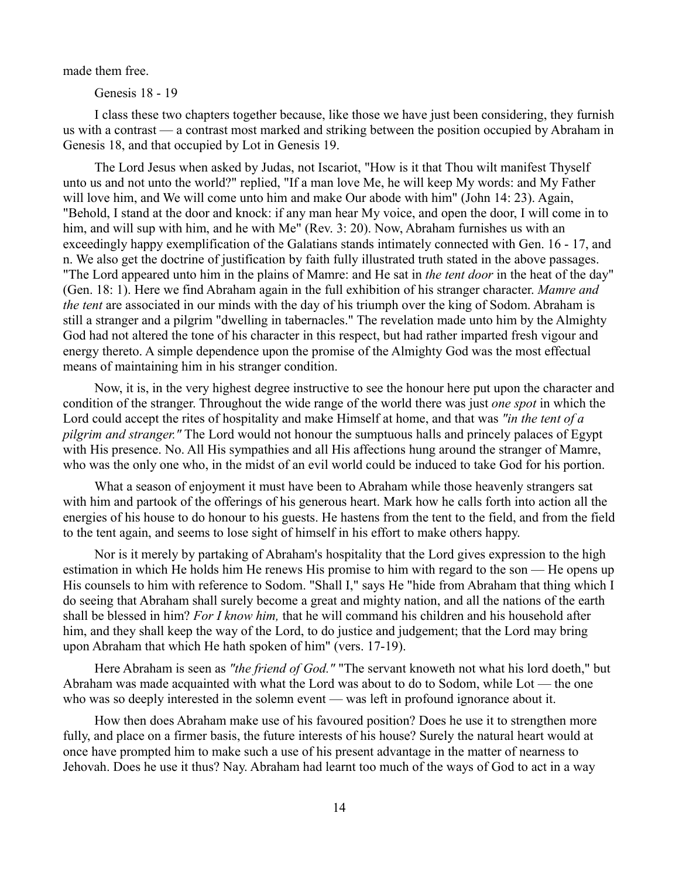made them free.

Genesis 18 - 19

I class these two chapters together because, like those we have just been considering, they furnish us with a contrast — a contrast most marked and striking between the position occupied by Abraham in Genesis 18, and that occupied by Lot in Genesis 19.

The Lord Jesus when asked by Judas, not Iscariot, "How is it that Thou wilt manifest Thyself unto us and not unto the world?" replied, "If a man love Me, he will keep My words: and My Father will love him, and We will come unto him and make Our abode with him" (John 14: 23). Again, "Behold, I stand at the door and knock: if any man hear My voice, and open the door, I will come in to him, and will sup with him, and he with Me" (Rev. 3: 20). Now, Abraham furnishes us with an exceedingly happy exemplification of the Galatians stands intimately connected with Gen. 16 - 17, and n. We also get the doctrine of justification by faith fully illustrated truth stated in the above passages. "The Lord appeared unto him in the plains of Mamre: and He sat in *the tent door* in the heat of the day" (Gen. 18: 1). Here we find Abraham again in the full exhibition of his stranger character. *Mamre and the tent* are associated in our minds with the day of his triumph over the king of Sodom. Abraham is still a stranger and a pilgrim "dwelling in tabernacles." The revelation made unto him by the Almighty God had not altered the tone of his character in this respect, but had rather imparted fresh vigour and energy thereto. A simple dependence upon the promise of the Almighty God was the most effectual means of maintaining him in his stranger condition.

Now, it is, in the very highest degree instructive to see the honour here put upon the character and condition of the stranger. Throughout the wide range of the world there was just *one spot* in which the Lord could accept the rites of hospitality and make Himself at home, and that was *"in the tent of a pilgrim and stranger."* The Lord would not honour the sumptuous halls and princely palaces of Egypt with His presence. No. All His sympathies and all His affections hung around the stranger of Mamre, who was the only one who, in the midst of an evil world could be induced to take God for his portion.

What a season of enjoyment it must have been to Abraham while those heavenly strangers sat with him and partook of the offerings of his generous heart. Mark how he calls forth into action all the energies of his house to do honour to his guests. He hastens from the tent to the field, and from the field to the tent again, and seems to lose sight of himself in his effort to make others happy.

Nor is it merely by partaking of Abraham's hospitality that the Lord gives expression to the high estimation in which He holds him He renews His promise to him with regard to the son — He opens up His counsels to him with reference to Sodom. "Shall I," says He "hide from Abraham that thing which I do seeing that Abraham shall surely become a great and mighty nation, and all the nations of the earth shall be blessed in him? *For I know him,* that he will command his children and his household after him, and they shall keep the way of the Lord, to do justice and judgement; that the Lord may bring upon Abraham that which He hath spoken of him" (vers. 17-19).

Here Abraham is seen as *"the friend of God."* "The servant knoweth not what his lord doeth," but Abraham was made acquainted with what the Lord was about to do to Sodom, while Lot — the one who was so deeply interested in the solemn event — was left in profound ignorance about it.

How then does Abraham make use of his favoured position? Does he use it to strengthen more fully, and place on a firmer basis, the future interests of his house? Surely the natural heart would at once have prompted him to make such a use of his present advantage in the matter of nearness to Jehovah. Does he use it thus? Nay. Abraham had learnt too much of the ways of God to act in a way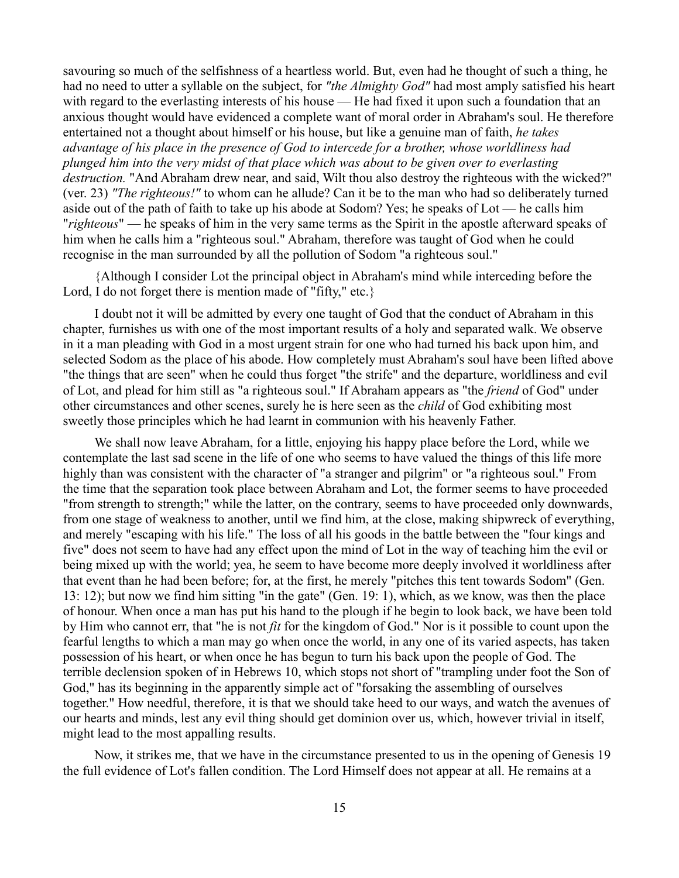savouring so much of the selfishness of a heartless world. But, even had he thought of such a thing, he had no need to utter a syllable on the subject, for *"the Almighty God"* had most amply satisfied his heart with regard to the everlasting interests of his house — He had fixed it upon such a foundation that an anxious thought would have evidenced a complete want of moral order in Abraham's soul. He therefore entertained not a thought about himself or his house, but like a genuine man of faith, *he takes advantage of his place in the presence of God to intercede for a brother, whose worldliness had plunged him into the very midst of that place which was about to be given over to everlasting destruction.* "And Abraham drew near, and said, Wilt thou also destroy the righteous with the wicked?" (ver. 23) *"The righteous!"* to whom can he allude? Can it be to the man who had so deliberately turned aside out of the path of faith to take up his abode at Sodom? Yes; he speaks of Lot — he calls him "*righteous*" — he speaks of him in the very same terms as the Spirit in the apostle afterward speaks of him when he calls him a "righteous soul." Abraham, therefore was taught of God when he could recognise in the man surrounded by all the pollution of Sodom "a righteous soul."

{Although I consider Lot the principal object in Abraham's mind while interceding before the Lord, I do not forget there is mention made of "fifty," etc.}

I doubt not it will be admitted by every one taught of God that the conduct of Abraham in this chapter, furnishes us with one of the most important results of a holy and separated walk. We observe in it a man pleading with God in a most urgent strain for one who had turned his back upon him, and selected Sodom as the place of his abode. How completely must Abraham's soul have been lifted above "the things that are seen" when he could thus forget "the strife" and the departure, worldliness and evil of Lot, and plead for him still as "a righteous soul." If Abraham appears as "the *friend* of God" under other circumstances and other scenes, surely he is here seen as the *child* of God exhibiting most sweetly those principles which he had learnt in communion with his heavenly Father.

We shall now leave Abraham, for a little, enjoying his happy place before the Lord, while we contemplate the last sad scene in the life of one who seems to have valued the things of this life more highly than was consistent with the character of "a stranger and pilgrim" or "a righteous soul." From the time that the separation took place between Abraham and Lot, the former seems to have proceeded "from strength to strength;" while the latter, on the contrary, seems to have proceeded only downwards, from one stage of weakness to another, until we find him, at the close, making shipwreck of everything, and merely "escaping with his life." The loss of all his goods in the battle between the "four kings and five" does not seem to have had any effect upon the mind of Lot in the way of teaching him the evil or being mixed up with the world; yea, he seem to have become more deeply involved it worldliness after that event than he had been before; for, at the first, he merely "pitches this tent towards Sodom" (Gen. 13: 12); but now we find him sitting "in the gate" (Gen. 19: 1), which, as we know, was then the place of honour. When once a man has put his hand to the plough if he begin to look back, we have been told by Him who cannot err, that "he is not *fit* for the kingdom of God." Nor is it possible to count upon the fearful lengths to which a man may go when once the world, in any one of its varied aspects, has taken possession of his heart, or when once he has begun to turn his back upon the people of God. The terrible declension spoken of in Hebrews 10, which stops not short of "trampling under foot the Son of God," has its beginning in the apparently simple act of "forsaking the assembling of ourselves together." How needful, therefore, it is that we should take heed to our ways, and watch the avenues of our hearts and minds, lest any evil thing should get dominion over us, which, however trivial in itself, might lead to the most appalling results.

Now, it strikes me, that we have in the circumstance presented to us in the opening of Genesis 19 the full evidence of Lot's fallen condition. The Lord Himself does not appear at all. He remains at a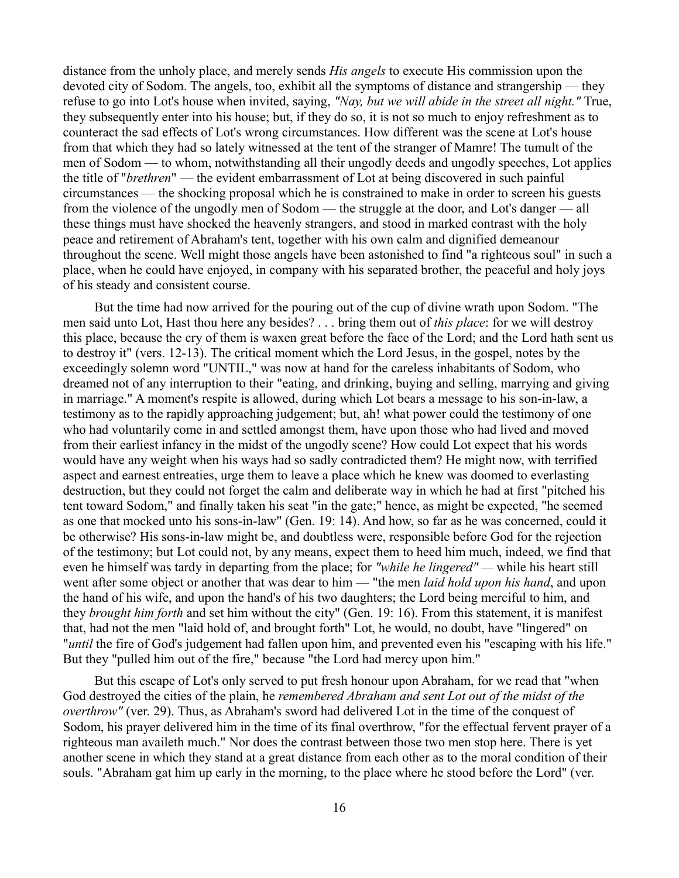distance from the unholy place, and merely sends *His angels* to execute His commission upon the devoted city of Sodom. The angels, too, exhibit all the symptoms of distance and strangership — they refuse to go into Lot's house when invited, saying, *"Nay, but we will abide in the street all night."* True, they subsequently enter into his house; but, if they do so, it is not so much to enjoy refreshment as to counteract the sad effects of Lot's wrong circumstances. How different was the scene at Lot's house from that which they had so lately witnessed at the tent of the stranger of Mamre! The tumult of the men of Sodom — to whom, notwithstanding all their ungodly deeds and ungodly speeches, Lot applies the title of "*brethren*" — the evident embarrassment of Lot at being discovered in such painful circumstances — the shocking proposal which he is constrained to make in order to screen his guests from the violence of the ungodly men of Sodom — the struggle at the door, and Lot's danger — all these things must have shocked the heavenly strangers, and stood in marked contrast with the holy peace and retirement of Abraham's tent, together with his own calm and dignified demeanour throughout the scene. Well might those angels have been astonished to find "a righteous soul" in such a place, when he could have enjoyed, in company with his separated brother, the peaceful and holy joys of his steady and consistent course.

But the time had now arrived for the pouring out of the cup of divine wrath upon Sodom. "The men said unto Lot, Hast thou here any besides? . . . bring them out of *this place*: for we will destroy this place, because the cry of them is waxen great before the face of the Lord; and the Lord hath sent us to destroy it" (vers. 12-13). The critical moment which the Lord Jesus, in the gospel, notes by the exceedingly solemn word "UNTIL," was now at hand for the careless inhabitants of Sodom, who dreamed not of any interruption to their "eating, and drinking, buying and selling, marrying and giving in marriage." A moment's respite is allowed, during which Lot bears a message to his son-in-law, a testimony as to the rapidly approaching judgement; but, ah! what power could the testimony of one who had voluntarily come in and settled amongst them, have upon those who had lived and moved from their earliest infancy in the midst of the ungodly scene? How could Lot expect that his words would have any weight when his ways had so sadly contradicted them? He might now, with terrified aspect and earnest entreaties, urge them to leave a place which he knew was doomed to everlasting destruction, but they could not forget the calm and deliberate way in which he had at first "pitched his tent toward Sodom," and finally taken his seat "in the gate;" hence, as might be expected, "he seemed as one that mocked unto his sons-in-law" (Gen. 19: 14). And how, so far as he was concerned, could it be otherwise? His sons-in-law might be, and doubtless were, responsible before God for the rejection of the testimony; but Lot could not, by any means, expect them to heed him much, indeed, we find that even he himself was tardy in departing from the place; for *"while he lingered" —* while his heart still went after some object or another that was dear to him — "the men *laid hold upon his hand*, and upon the hand of his wife, and upon the hand's of his two daughters; the Lord being merciful to him, and they *brought him forth* and set him without the city" (Gen. 19: 16). From this statement, it is manifest that, had not the men "laid hold of, and brought forth" Lot, he would, no doubt, have "lingered" on "*until* the fire of God's judgement had fallen upon him, and prevented even his "escaping with his life." But they "pulled him out of the fire," because "the Lord had mercy upon him."

But this escape of Lot's only served to put fresh honour upon Abraham, for we read that "when God destroyed the cities of the plain, he *remembered Abraham and sent Lot out of the midst of the overthrow"* (ver. 29). Thus, as Abraham's sword had delivered Lot in the time of the conquest of Sodom, his prayer delivered him in the time of its final overthrow, "for the effectual fervent prayer of a righteous man availeth much." Nor does the contrast between those two men stop here. There is yet another scene in which they stand at a great distance from each other as to the moral condition of their souls. "Abraham gat him up early in the morning, to the place where he stood before the Lord" (ver.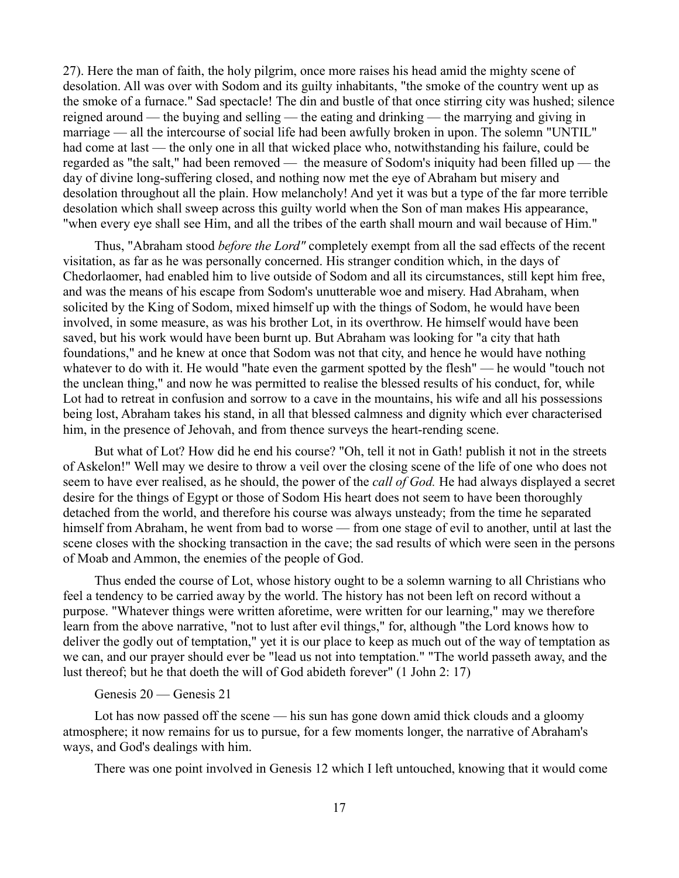27). Here the man of faith, the holy pilgrim, once more raises his head amid the mighty scene of desolation. All was over with Sodom and its guilty inhabitants, "the smoke of the country went up as the smoke of a furnace." Sad spectacle! The din and bustle of that once stirring city was hushed; silence reigned around — the buying and selling — the eating and drinking — the marrying and giving in marriage — all the intercourse of social life had been awfully broken in upon. The solemn "UNTIL" had come at last — the only one in all that wicked place who, notwithstanding his failure, could be regarded as "the salt," had been removed — the measure of Sodom's iniquity had been filled up — the day of divine long-suffering closed, and nothing now met the eye of Abraham but misery and desolation throughout all the plain. How melancholy! And yet it was but a type of the far more terrible desolation which shall sweep across this guilty world when the Son of man makes His appearance, "when every eye shall see Him, and all the tribes of the earth shall mourn and wail because of Him."

Thus, "Abraham stood *before the Lord"* completely exempt from all the sad effects of the recent visitation, as far as he was personally concerned. His stranger condition which, in the days of Chedorlaomer, had enabled him to live outside of Sodom and all its circumstances, still kept him free, and was the means of his escape from Sodom's unutterable woe and misery. Had Abraham, when solicited by the King of Sodom, mixed himself up with the things of Sodom, he would have been involved, in some measure, as was his brother Lot, in its overthrow. He himself would have been saved, but his work would have been burnt up. But Abraham was looking for "a city that hath foundations," and he knew at once that Sodom was not that city, and hence he would have nothing whatever to do with it. He would "hate even the garment spotted by the flesh" — he would "touch not the unclean thing," and now he was permitted to realise the blessed results of his conduct, for, while Lot had to retreat in confusion and sorrow to a cave in the mountains, his wife and all his possessions being lost, Abraham takes his stand, in all that blessed calmness and dignity which ever characterised him, in the presence of Jehovah, and from thence surveys the heart-rending scene.

But what of Lot? How did he end his course? "Oh, tell it not in Gath! publish it not in the streets of Askelon!" Well may we desire to throw a veil over the closing scene of the life of one who does not seem to have ever realised, as he should, the power of the *call of God.* He had always displayed a secret desire for the things of Egypt or those of Sodom His heart does not seem to have been thoroughly detached from the world, and therefore his course was always unsteady; from the time he separated himself from Abraham, he went from bad to worse — from one stage of evil to another, until at last the scene closes with the shocking transaction in the cave; the sad results of which were seen in the persons of Moab and Ammon, the enemies of the people of God.

Thus ended the course of Lot, whose history ought to be a solemn warning to all Christians who feel a tendency to be carried away by the world. The history has not been left on record without a purpose. "Whatever things were written aforetime, were written for our learning," may we therefore learn from the above narrative, "not to lust after evil things," for, although "the Lord knows how to deliver the godly out of temptation," yet it is our place to keep as much out of the way of temptation as we can, and our prayer should ever be "lead us not into temptation." "The world passeth away, and the lust thereof; but he that doeth the will of God abideth forever" (1 John 2: 17)

#### Genesis 20 — Genesis 21

Lot has now passed off the scene — his sun has gone down amid thick clouds and a gloomy atmosphere; it now remains for us to pursue, for a few moments longer, the narrative of Abraham's ways, and God's dealings with him.

There was one point involved in Genesis 12 which I left untouched, knowing that it would come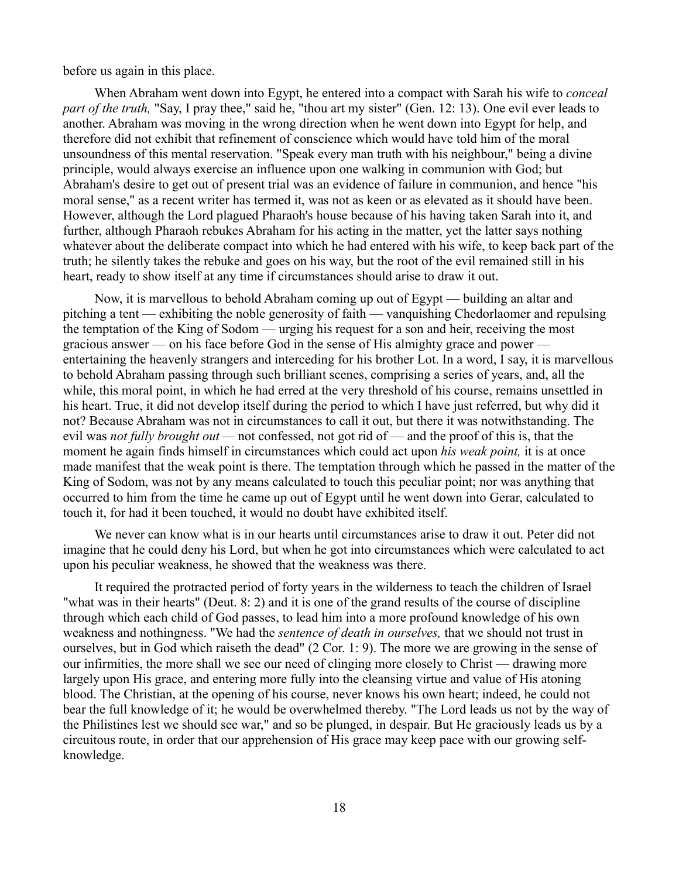before us again in this place.

When Abraham went down into Egypt, he entered into a compact with Sarah his wife to *conceal part of the truth,* "Say, I pray thee," said he, "thou art my sister" (Gen. 12: 13). One evil ever leads to another. Abraham was moving in the wrong direction when he went down into Egypt for help, and therefore did not exhibit that refinement of conscience which would have told him of the moral unsoundness of this mental reservation. "Speak every man truth with his neighbour," being a divine principle, would always exercise an influence upon one walking in communion with God; but Abraham's desire to get out of present trial was an evidence of failure in communion, and hence "his moral sense," as a recent writer has termed it, was not as keen or as elevated as it should have been. However, although the Lord plagued Pharaoh's house because of his having taken Sarah into it, and further, although Pharaoh rebukes Abraham for his acting in the matter, yet the latter says nothing whatever about the deliberate compact into which he had entered with his wife, to keep back part of the truth; he silently takes the rebuke and goes on his way, but the root of the evil remained still in his heart, ready to show itself at any time if circumstances should arise to draw it out.

Now, it is marvellous to behold Abraham coming up out of Egypt — building an altar and pitching a tent — exhibiting the noble generosity of faith — vanquishing Chedorlaomer and repulsing the temptation of the King of Sodom — urging his request for a son and heir, receiving the most gracious answer — on his face before God in the sense of His almighty grace and power entertaining the heavenly strangers and interceding for his brother Lot. In a word, I say, it is marvellous to behold Abraham passing through such brilliant scenes, comprising a series of years, and, all the while, this moral point, in which he had erred at the very threshold of his course, remains unsettled in his heart. True, it did not develop itself during the period to which I have just referred, but why did it not? Because Abraham was not in circumstances to call it out, but there it was notwithstanding. The evil was *not fully brought out —* not confessed, not got rid of — and the proof of this is, that the moment he again finds himself in circumstances which could act upon *his weak point,* it is at once made manifest that the weak point is there. The temptation through which he passed in the matter of the King of Sodom, was not by any means calculated to touch this peculiar point; nor was anything that occurred to him from the time he came up out of Egypt until he went down into Gerar, calculated to touch it, for had it been touched, it would no doubt have exhibited itself.

We never can know what is in our hearts until circumstances arise to draw it out. Peter did not imagine that he could deny his Lord, but when he got into circumstances which were calculated to act upon his peculiar weakness, he showed that the weakness was there.

It required the protracted period of forty years in the wilderness to teach the children of Israel "what was in their hearts" (Deut. 8: 2) and it is one of the grand results of the course of discipline through which each child of God passes, to lead him into a more profound knowledge of his own weakness and nothingness. "We had the *sentence of death in ourselves,* that we should not trust in ourselves, but in God which raiseth the dead" (2 Cor. 1: 9). The more we are growing in the sense of our infirmities, the more shall we see our need of clinging more closely to Christ — drawing more largely upon His grace, and entering more fully into the cleansing virtue and value of His atoning blood. The Christian, at the opening of his course, never knows his own heart; indeed, he could not bear the full knowledge of it; he would be overwhelmed thereby. "The Lord leads us not by the way of the Philistines lest we should see war," and so be plunged, in despair. But He graciously leads us by a circuitous route, in order that our apprehension of His grace may keep pace with our growing selfknowledge.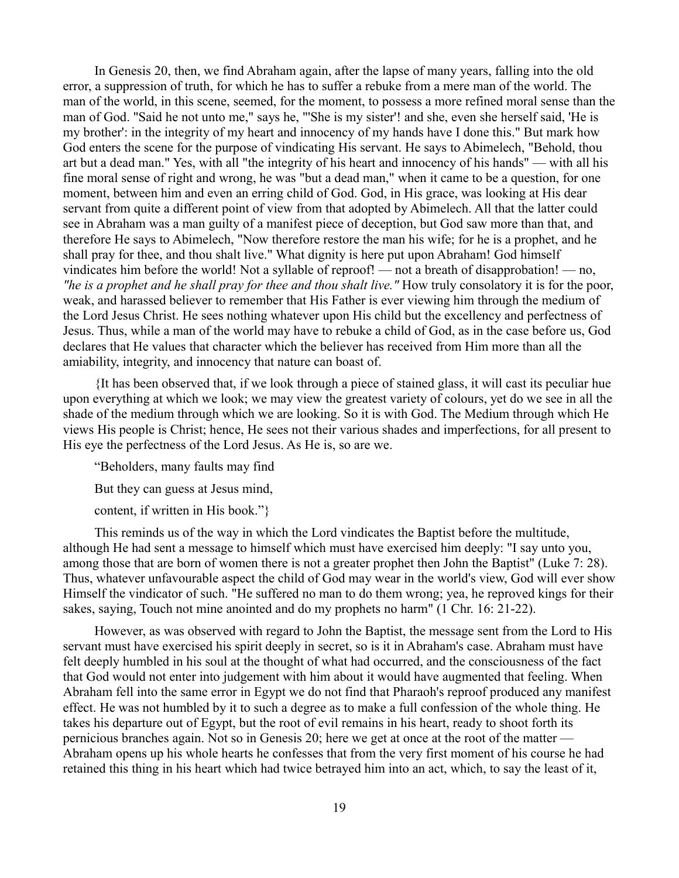In Genesis 20, then, we find Abraham again, after the lapse of many years, falling into the old error, a suppression of truth, for which he has to suffer a rebuke from a mere man of the world. The man of the world, in this scene, seemed, for the moment, to possess a more refined moral sense than the man of God. "Said he not unto me," says he, "'She is my sister'! and she, even she herself said, 'He is my brother': in the integrity of my heart and innocency of my hands have I done this." But mark how God enters the scene for the purpose of vindicating His servant. He says to Abimelech, "Behold, thou art but a dead man." Yes, with all "the integrity of his heart and innocency of his hands" — with all his fine moral sense of right and wrong, he was "but a dead man," when it came to be a question, for one moment, between him and even an erring child of God. God, in His grace, was looking at His dear servant from quite a different point of view from that adopted by Abimelech. All that the latter could see in Abraham was a man guilty of a manifest piece of deception, but God saw more than that, and therefore He says to Abimelech, "Now therefore restore the man his wife; for he is a prophet, and he shall pray for thee, and thou shalt live." What dignity is here put upon Abraham! God himself vindicates him before the world! Not a syllable of reproof! — not a breath of disapprobation! — no, *"he is a prophet and he shall pray for thee and thou shalt live."* How truly consolatory it is for the poor, weak, and harassed believer to remember that His Father is ever viewing him through the medium of the Lord Jesus Christ. He sees nothing whatever upon His child but the excellency and perfectness of Jesus. Thus, while a man of the world may have to rebuke a child of God, as in the case before us, God declares that He values that character which the believer has received from Him more than all the amiability, integrity, and innocency that nature can boast of.

{It has been observed that, if we look through a piece of stained glass, it will cast its peculiar hue upon everything at which we look; we may view the greatest variety of colours, yet do we see in all the shade of the medium through which we are looking. So it is with God. The Medium through which He views His people is Christ; hence, He sees not their various shades and imperfections, for all present to His eye the perfectness of the Lord Jesus. As He is, so are we.

"Beholders, many faults may find

But they can guess at Jesus mind,

content, if written in His book."}

This reminds us of the way in which the Lord vindicates the Baptist before the multitude, although He had sent a message to himself which must have exercised him deeply: "I say unto you, among those that are born of women there is not a greater prophet then John the Baptist" (Luke 7: 28). Thus, whatever unfavourable aspect the child of God may wear in the world's view, God will ever show Himself the vindicator of such. "He suffered no man to do them wrong; yea, he reproved kings for their sakes, saying, Touch not mine anointed and do my prophets no harm" (1 Chr. 16: 21-22).

However, as was observed with regard to John the Baptist, the message sent from the Lord to His servant must have exercised his spirit deeply in secret, so is it in Abraham's case. Abraham must have felt deeply humbled in his soul at the thought of what had occurred, and the consciousness of the fact that God would not enter into judgement with him about it would have augmented that feeling. When Abraham fell into the same error in Egypt we do not find that Pharaoh's reproof produced any manifest effect. He was not humbled by it to such a degree as to make a full confession of the whole thing. He takes his departure out of Egypt, but the root of evil remains in his heart, ready to shoot forth its pernicious branches again. Not so in Genesis 20; here we get at once at the root of the matter — Abraham opens up his whole hearts he confesses that from the very first moment of his course he had retained this thing in his heart which had twice betrayed him into an act, which, to say the least of it,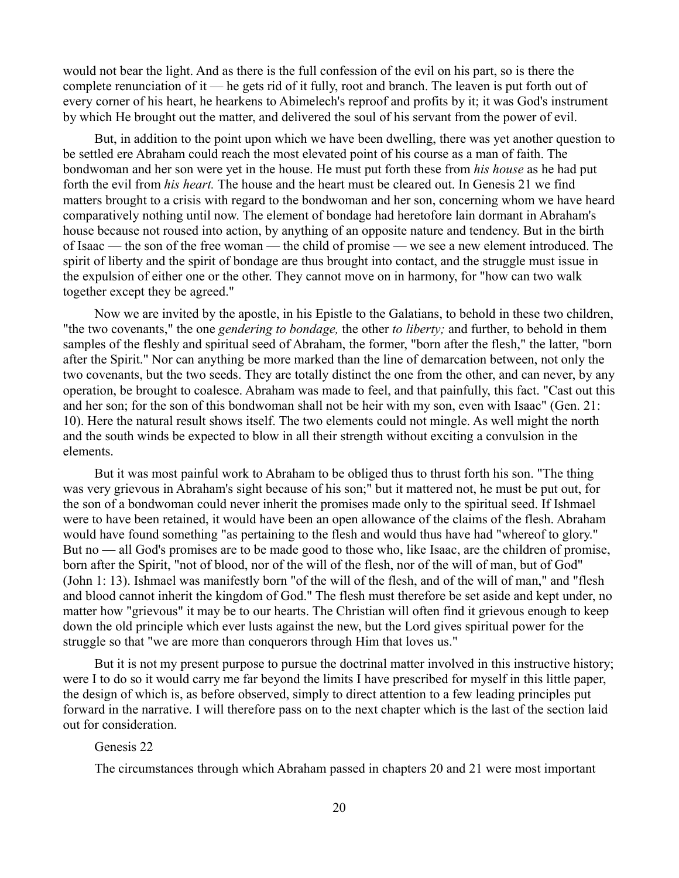would not bear the light. And as there is the full confession of the evil on his part, so is there the complete renunciation of it — he gets rid of it fully, root and branch. The leaven is put forth out of every corner of his heart, he hearkens to Abimelech's reproof and profits by it; it was God's instrument by which He brought out the matter, and delivered the soul of his servant from the power of evil.

But, in addition to the point upon which we have been dwelling, there was yet another question to be settled ere Abraham could reach the most elevated point of his course as a man of faith. The bondwoman and her son were yet in the house. He must put forth these from *his house* as he had put forth the evil from *his heart.* The house and the heart must be cleared out. In Genesis 21 we find matters brought to a crisis with regard to the bondwoman and her son, concerning whom we have heard comparatively nothing until now. The element of bondage had heretofore lain dormant in Abraham's house because not roused into action, by anything of an opposite nature and tendency. But in the birth of Isaac — the son of the free woman — the child of promise — we see a new element introduced. The spirit of liberty and the spirit of bondage are thus brought into contact, and the struggle must issue in the expulsion of either one or the other. They cannot move on in harmony, for "how can two walk together except they be agreed."

Now we are invited by the apostle, in his Epistle to the Galatians, to behold in these two children, "the two covenants," the one *gendering to bondage,* the other *to liberty;* and further, to behold in them samples of the fleshly and spiritual seed of Abraham, the former, "born after the flesh," the latter, "born after the Spirit." Nor can anything be more marked than the line of demarcation between, not only the two covenants, but the two seeds. They are totally distinct the one from the other, and can never, by any operation, be brought to coalesce. Abraham was made to feel, and that painfully, this fact. "Cast out this and her son; for the son of this bondwoman shall not be heir with my son, even with Isaac" (Gen. 21: 10). Here the natural result shows itself. The two elements could not mingle. As well might the north and the south winds be expected to blow in all their strength without exciting a convulsion in the elements.

But it was most painful work to Abraham to be obliged thus to thrust forth his son. "The thing was very grievous in Abraham's sight because of his son;" but it mattered not, he must be put out, for the son of a bondwoman could never inherit the promises made only to the spiritual seed. If Ishmael were to have been retained, it would have been an open allowance of the claims of the flesh. Abraham would have found something "as pertaining to the flesh and would thus have had "whereof to glory." But no — all God's promises are to be made good to those who, like Isaac, are the children of promise, born after the Spirit, "not of blood, nor of the will of the flesh, nor of the will of man, but of God" (John 1: 13). Ishmael was manifestly born "of the will of the flesh, and of the will of man," and "flesh and blood cannot inherit the kingdom of God." The flesh must therefore be set aside and kept under, no matter how "grievous" it may be to our hearts. The Christian will often find it grievous enough to keep down the old principle which ever lusts against the new, but the Lord gives spiritual power for the struggle so that "we are more than conquerors through Him that loves us."

But it is not my present purpose to pursue the doctrinal matter involved in this instructive history; were I to do so it would carry me far beyond the limits I have prescribed for myself in this little paper, the design of which is, as before observed, simply to direct attention to a few leading principles put forward in the narrative. I will therefore pass on to the next chapter which is the last of the section laid out for consideration.

# Genesis 22

The circumstances through which Abraham passed in chapters 20 and 21 were most important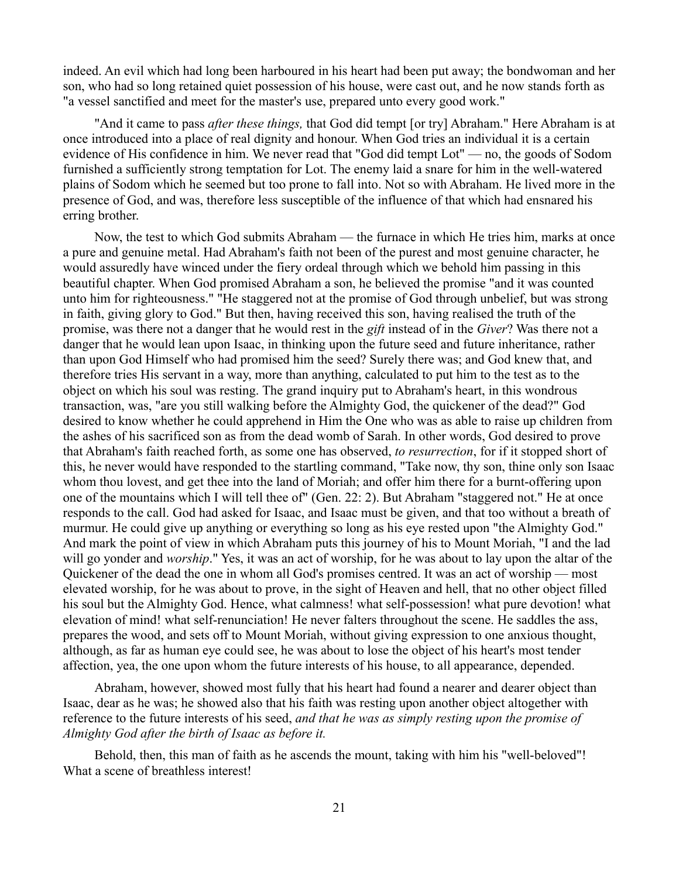indeed. An evil which had long been harboured in his heart had been put away; the bondwoman and her son, who had so long retained quiet possession of his house, were cast out, and he now stands forth as "a vessel sanctified and meet for the master's use, prepared unto every good work."

"And it came to pass *after these things,* that God did tempt [or try] Abraham." Here Abraham is at once introduced into a place of real dignity and honour. When God tries an individual it is a certain evidence of His confidence in him. We never read that "God did tempt Lot" — no, the goods of Sodom furnished a sufficiently strong temptation for Lot. The enemy laid a snare for him in the well-watered plains of Sodom which he seemed but too prone to fall into. Not so with Abraham. He lived more in the presence of God, and was, therefore less susceptible of the influence of that which had ensnared his erring brother.

Now, the test to which God submits Abraham — the furnace in which He tries him, marks at once a pure and genuine metal. Had Abraham's faith not been of the purest and most genuine character, he would assuredly have winced under the fiery ordeal through which we behold him passing in this beautiful chapter. When God promised Abraham a son, he believed the promise "and it was counted unto him for righteousness." "He staggered not at the promise of God through unbelief, but was strong in faith, giving glory to God." But then, having received this son, having realised the truth of the promise, was there not a danger that he would rest in the *gift* instead of in the *Giver*? Was there not a danger that he would lean upon Isaac, in thinking upon the future seed and future inheritance, rather than upon God Himself who had promised him the seed? Surely there was; and God knew that, and therefore tries His servant in a way, more than anything, calculated to put him to the test as to the object on which his soul was resting. The grand inquiry put to Abraham's heart, in this wondrous transaction, was, "are you still walking before the Almighty God, the quickener of the dead?" God desired to know whether he could apprehend in Him the One who was as able to raise up children from the ashes of his sacrificed son as from the dead womb of Sarah. In other words, God desired to prove that Abraham's faith reached forth, as some one has observed, *to resurrection*, for if it stopped short of this, he never would have responded to the startling command, "Take now, thy son, thine only son Isaac whom thou lovest, and get thee into the land of Moriah; and offer him there for a burnt-offering upon one of the mountains which I will tell thee of" (Gen. 22: 2). But Abraham "staggered not." He at once responds to the call. God had asked for Isaac, and Isaac must be given, and that too without a breath of murmur. He could give up anything or everything so long as his eye rested upon "the Almighty God." And mark the point of view in which Abraham puts this journey of his to Mount Moriah, "I and the lad will go yonder and *worship*." Yes, it was an act of worship, for he was about to lay upon the altar of the Quickener of the dead the one in whom all God's promises centred. It was an act of worship — most elevated worship, for he was about to prove, in the sight of Heaven and hell, that no other object filled his soul but the Almighty God. Hence, what calmness! what self-possession! what pure devotion! what elevation of mind! what self-renunciation! He never falters throughout the scene. He saddles the ass, prepares the wood, and sets off to Mount Moriah, without giving expression to one anxious thought, although, as far as human eye could see, he was about to lose the object of his heart's most tender affection, yea, the one upon whom the future interests of his house, to all appearance, depended.

Abraham, however, showed most fully that his heart had found a nearer and dearer object than Isaac, dear as he was; he showed also that his faith was resting upon another object altogether with reference to the future interests of his seed, *and that he was as simply resting upon the promise of Almighty God after the birth of Isaac as before it.* 

Behold, then, this man of faith as he ascends the mount, taking with him his "well-beloved"! What a scene of breathless interest!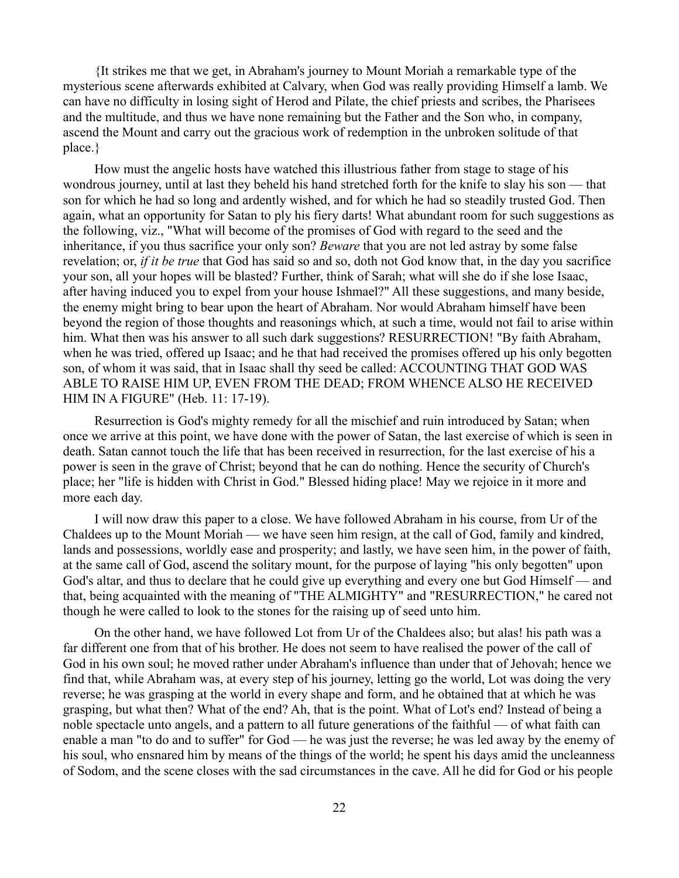{It strikes me that we get, in Abraham's journey to Mount Moriah a remarkable type of the mysterious scene afterwards exhibited at Calvary, when God was really providing Himself a lamb. We can have no difficulty in losing sight of Herod and Pilate, the chief priests and scribes, the Pharisees and the multitude, and thus we have none remaining but the Father and the Son who, in company, ascend the Mount and carry out the gracious work of redemption in the unbroken solitude of that place.}

How must the angelic hosts have watched this illustrious father from stage to stage of his wondrous journey, until at last they beheld his hand stretched forth for the knife to slay his son — that son for which he had so long and ardently wished, and for which he had so steadily trusted God. Then again, what an opportunity for Satan to ply his fiery darts! What abundant room for such suggestions as the following, viz., "What will become of the promises of God with regard to the seed and the inheritance, if you thus sacrifice your only son? *Beware* that you are not led astray by some false revelation; or, *if it be true* that God has said so and so, doth not God know that, in the day you sacrifice your son, all your hopes will be blasted? Further, think of Sarah; what will she do if she lose Isaac, after having induced you to expel from your house Ishmael?" All these suggestions, and many beside, the enemy might bring to bear upon the heart of Abraham. Nor would Abraham himself have been beyond the region of those thoughts and reasonings which, at such a time, would not fail to arise within him. What then was his answer to all such dark suggestions? RESURRECTION! "By faith Abraham, when he was tried, offered up Isaac; and he that had received the promises offered up his only begotten son, of whom it was said, that in Isaac shall thy seed be called: ACCOUNTING THAT GOD WAS ABLE TO RAISE HIM UP, EVEN FROM THE DEAD; FROM WHENCE ALSO HE RECEIVED HIM IN A FIGURE" (Heb. 11: 17-19).

Resurrection is God's mighty remedy for all the mischief and ruin introduced by Satan; when once we arrive at this point, we have done with the power of Satan, the last exercise of which is seen in death. Satan cannot touch the life that has been received in resurrection, for the last exercise of his a power is seen in the grave of Christ; beyond that he can do nothing. Hence the security of Church's place; her "life is hidden with Christ in God." Blessed hiding place! May we rejoice in it more and more each day.

I will now draw this paper to a close. We have followed Abraham in his course, from Ur of the Chaldees up to the Mount Moriah — we have seen him resign, at the call of God, family and kindred, lands and possessions, worldly ease and prosperity; and lastly, we have seen him, in the power of faith, at the same call of God, ascend the solitary mount, for the purpose of laying "his only begotten" upon God's altar, and thus to declare that he could give up everything and every one but God Himself — and that, being acquainted with the meaning of "THE ALMIGHTY" and "RESURRECTION," he cared not though he were called to look to the stones for the raising up of seed unto him.

On the other hand, we have followed Lot from Ur of the Chaldees also; but alas! his path was a far different one from that of his brother. He does not seem to have realised the power of the call of God in his own soul; he moved rather under Abraham's influence than under that of Jehovah; hence we find that, while Abraham was, at every step of his journey, letting go the world, Lot was doing the very reverse; he was grasping at the world in every shape and form, and he obtained that at which he was grasping, but what then? What of the end? Ah, that is the point. What of Lot's end? Instead of being a noble spectacle unto angels, and a pattern to all future generations of the faithful — of what faith can enable a man "to do and to suffer" for God — he was just the reverse; he was led away by the enemy of his soul, who ensnared him by means of the things of the world; he spent his days amid the uncleanness of Sodom, and the scene closes with the sad circumstances in the cave. All he did for God or his people